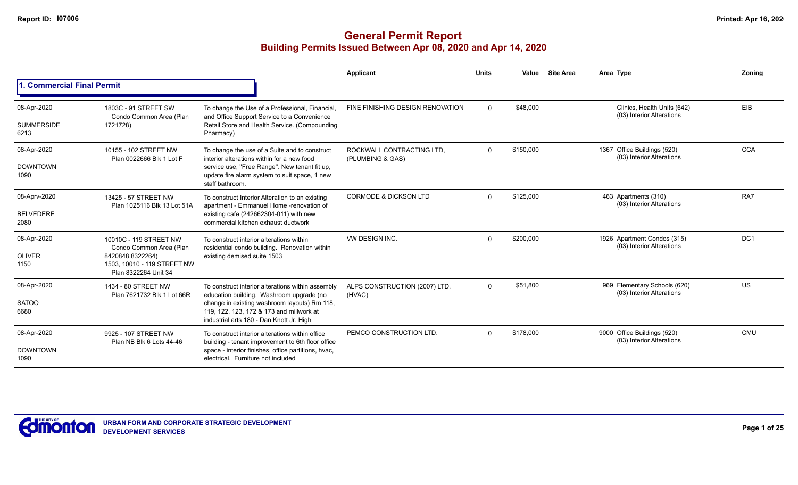|                                          |                                                                                                                              |                                                                                                                                                                                                                                       | Applicant                                     | <b>Units</b> | Value     | <b>Site Area</b> | Area Type                                                 | Zonina          |
|------------------------------------------|------------------------------------------------------------------------------------------------------------------------------|---------------------------------------------------------------------------------------------------------------------------------------------------------------------------------------------------------------------------------------|-----------------------------------------------|--------------|-----------|------------------|-----------------------------------------------------------|-----------------|
| <b>Commercial Final Permit</b>           |                                                                                                                              |                                                                                                                                                                                                                                       |                                               |              |           |                  |                                                           |                 |
| 08-Apr-2020<br><b>SUMMERSIDE</b><br>6213 | 1803C - 91 STREET SW<br>Condo Common Area (Plan<br>1721728)                                                                  | To change the Use of a Professional, Financial,<br>and Office Support Service to a Convenience<br>Retail Store and Health Service. (Compounding<br>Pharmacy)                                                                          | FINE FINISHING DESIGN RENOVATION              | $\Omega$     | \$48,000  |                  | Clinics, Health Units (642)<br>(03) Interior Alterations  | EIB             |
| 08-Apr-2020<br><b>DOWNTOWN</b><br>1090   | 10155 - 102 STREET NW<br>Plan 0022666 Blk 1 Lot F                                                                            | To change the use of a Suite and to construct<br>interior alterations within for a new food<br>service use, "Free Range". New tenant fit up,<br>update fire alarm system to suit space, 1 new<br>staff bathroom.                      | ROCKWALL CONTRACTING LTD.<br>(PLUMBING & GAS) | $\Omega$     | \$150,000 |                  | 1367 Office Buildings (520)<br>(03) Interior Alterations  | <b>CCA</b>      |
| 08-Aprv-2020<br><b>BELVEDERE</b><br>2080 | 13425 - 57 STREET NW<br>Plan 1025116 Blk 13 Lot 51A                                                                          | To construct Interior Alteration to an existing<br>apartment - Emmanuel Home -renovation of<br>existing cafe (242662304-011) with new<br>commercial kitchen exhaust ductwork                                                          | <b>CORMODE &amp; DICKSON LTD</b>              | $\Omega$     | \$125,000 |                  | 463 Apartments (310)<br>(03) Interior Alterations         | RA7             |
| 08-Apr-2020<br><b>OLIVER</b><br>1150     | 10010C - 119 STREET NW<br>Condo Common Area (Plan<br>8420848,8322264)<br>1503, 10010 - 119 STREET NW<br>Plan 8322264 Unit 34 | To construct interior alterations within<br>residential condo building. Renovation within<br>existing demised suite 1503                                                                                                              | VW DESIGN INC.                                | $\Omega$     | \$200,000 |                  | 1926 Apartment Condos (315)<br>(03) Interior Alterations  | DC <sub>1</sub> |
| 08-Apr-2020<br><b>SATOO</b><br>6680      | 1434 - 80 STREET NW<br>Plan 7621732 Blk 1 Lot 66R                                                                            | To construct interior alterations within assembly<br>education building. Washroom upgrade (no<br>change in existing washroom layouts) Rm 118,<br>119, 122, 123, 172 & 173 and millwork at<br>industrial arts 180 - Dan Knott Jr. High | ALPS CONSTRUCTION (2007) LTD,<br>(HVAC)       | $\Omega$     | \$51,800  |                  | 969 Elementary Schools (620)<br>(03) Interior Alterations | <b>US</b>       |
| 08-Apr-2020<br><b>DOWNTOWN</b><br>1090   | 9925 - 107 STREET NW<br>Plan NB Blk 6 Lots 44-46                                                                             | To construct interior alterations within office<br>building - tenant improvement to 6th floor office<br>space - interior finishes, office partitions, hvac,<br>electrical. Furniture not included                                     | PEMCO CONSTRUCTION LTD.                       | <sup>n</sup> | \$178,000 |                  | 9000 Office Buildings (520)<br>(03) Interior Alterations  | <b>CMU</b>      |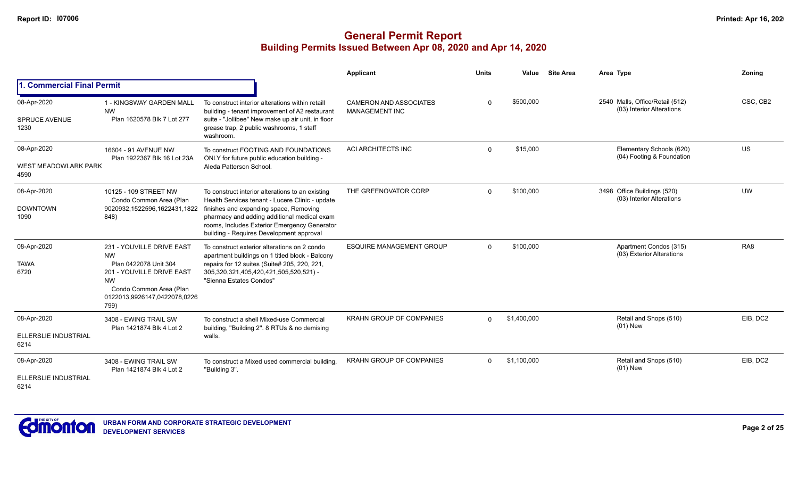|                                                    |                                                                                                                                                                              |                                                                                                                                                                                                                                                                                          | Applicant                                              | <b>Units</b> | Value       | <b>Site Area</b> | Area Type                                                    | Zoning          |
|----------------------------------------------------|------------------------------------------------------------------------------------------------------------------------------------------------------------------------------|------------------------------------------------------------------------------------------------------------------------------------------------------------------------------------------------------------------------------------------------------------------------------------------|--------------------------------------------------------|--------------|-------------|------------------|--------------------------------------------------------------|-----------------|
| 1. Commercial Final Permit                         |                                                                                                                                                                              |                                                                                                                                                                                                                                                                                          |                                                        |              |             |                  |                                                              |                 |
| 08-Apr-2020<br><b>SPRUCE AVENUE</b><br>1230        | 1 - KINGSWAY GARDEN MALL<br><b>NW</b><br>Plan 1620578 Blk 7 Lot 277                                                                                                          | To construct interior alterations within retaill<br>building - tenant improvement of A2 restaurant<br>suite - "Jollibee" New make up air unit, in floor<br>grease trap, 2 public washrooms, 1 staff<br>washroom.                                                                         | <b>CAMERON AND ASSOCIATES</b><br><b>MANAGEMENT INC</b> | $\Omega$     | \$500,000   |                  | 2540 Malls, Office/Retail (512)<br>(03) Interior Alterations | CSC, CB2        |
| 08-Apr-2020<br><b>WEST MEADOWLARK PARK</b><br>4590 | 16604 - 91 AVENUE NW<br>Plan 1922367 Blk 16 Lot 23A                                                                                                                          | To construct FOOTING AND FOUNDATIONS<br>ONLY for future public education building -<br>Aleda Patterson School.                                                                                                                                                                           | ACI ARCHITECTS INC                                     | $\Omega$     | \$15,000    |                  | Elementary Schools (620)<br>(04) Footing & Foundation        | US              |
| 08-Apr-2020<br><b>DOWNTOWN</b><br>1090             | 10125 - 109 STREET NW<br>Condo Common Area (Plan<br>9020932,1522596,1622431,1822<br>848)                                                                                     | To construct interior alterations to an existing<br>Health Services tenant - Lucere Clinic - update<br>finishes and expanding space, Removing<br>pharmacy and adding additional medical exam<br>rooms, Includes Exterior Emergency Generator<br>building - Requires Development approval | THE GREENOVATOR CORP                                   | $\Omega$     | \$100,000   |                  | 3498 Office Buildings (520)<br>(03) Interior Alterations     | <b>UW</b>       |
| 08-Apr-2020<br><b>TAWA</b><br>6720                 | 231 - YOUVILLE DRIVE EAST<br><b>NW</b><br>Plan 0422078 Unit 304<br>201 - YOUVILLE DRIVE EAST<br><b>NW</b><br>Condo Common Area (Plan<br>0122013,9926147,0422078,0226<br>799) | To construct exterior alterations on 2 condo<br>apartment buildings on 1 titled block - Balcony<br>repairs for 12 suites (Suite# 205, 220, 221,<br>305,320,321,405,420,421,505,520,521) -<br>"Sienna Estates Condos"                                                                     | <b>ESQUIRE MANAGEMENT GROUP</b>                        | $\Omega$     | \$100,000   |                  | Apartment Condos (315)<br>(03) Exterior Alterations          | RA <sub>8</sub> |
| 08-Apr-2020<br>ELLERSLIE INDUSTRIAL<br>6214        | 3408 - EWING TRAIL SW<br>Plan 1421874 Blk 4 Lot 2                                                                                                                            | To construct a shell Mixed-use Commercial<br>building, "Building 2". 8 RTUs & no demising<br>walls.                                                                                                                                                                                      | <b>KRAHN GROUP OF COMPANIES</b>                        | $\Omega$     | \$1,400,000 |                  | Retail and Shops (510)<br>$(01)$ New                         | EIB, DC2        |
| 08-Apr-2020<br>ELLERSLIE INDUSTRIAL<br>6214        | 3408 - EWING TRAIL SW<br>Plan 1421874 Blk 4 Lot 2                                                                                                                            | To construct a Mixed used commercial building,<br>"Building 3".                                                                                                                                                                                                                          | <b>KRAHN GROUP OF COMPANIES</b>                        | $\Omega$     | \$1,100,000 |                  | Retail and Shops (510)<br>(01) New                           | EIB, DC2        |

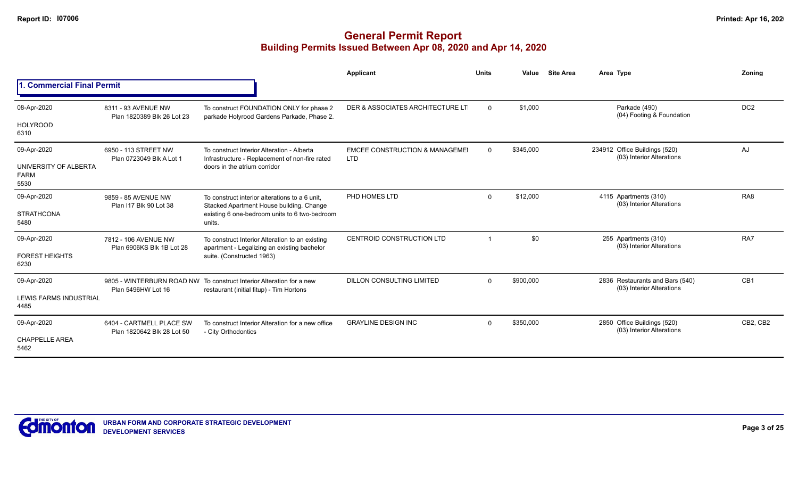|                                      |                                                        |                                                                                                                              | Applicant                                               | <b>Units</b>         | Value     | <b>Site Area</b>                                   | Area Type                                                    | Zoning          |
|--------------------------------------|--------------------------------------------------------|------------------------------------------------------------------------------------------------------------------------------|---------------------------------------------------------|----------------------|-----------|----------------------------------------------------|--------------------------------------------------------------|-----------------|
| <b>Commercial Final Permit</b>       |                                                        |                                                                                                                              |                                                         |                      |           |                                                    |                                                              |                 |
| 08-Apr-2020                          | 8311 - 93 AVENUE NW<br>Plan 1820389 Blk 26 Lot 23      | To construct FOUNDATION ONLY for phase 2<br>parkade Holyrood Gardens Parkade, Phase 2.                                       | DER & ASSOCIATES ARCHITECTURE LT                        | $\Omega$             | \$1,000   |                                                    | Parkade (490)<br>(04) Footing & Foundation                   | DC <sub>2</sub> |
| <b>HOLYROOD</b><br>6310              |                                                        |                                                                                                                              |                                                         |                      |           |                                                    |                                                              |                 |
| 09-Apr-2020<br>UNIVERSITY OF ALBERTA | 6950 - 113 STREET NW<br>Plan 0723049 Blk A Lot 1       | To construct Interior Alteration - Alberta<br>Infrastructure - Replacement of non-fire rated<br>doors in the atrium corridor | <b>EMCEE CONSTRUCTION &amp; MANAGEMEI</b><br><b>LTD</b> | $\Omega$             | \$345,000 |                                                    | 234912 Office Buildings (520)<br>(03) Interior Alterations   | AJ              |
| <b>FARM</b><br>5530                  |                                                        |                                                                                                                              |                                                         |                      |           |                                                    |                                                              |                 |
| 09-Apr-2020                          | 9859 - 85 AVENUE NW<br>Plan I17 Blk 90 Lot 38          | To construct interior alterations to a 6 unit.<br>Stacked Apartment House building. Change                                   | PHD HOMES LTD                                           | \$12,000<br>$\Omega$ |           | 4115 Apartments (310)<br>(03) Interior Alterations | RA <sub>8</sub>                                              |                 |
| <b>STRATHCONA</b><br>5480            |                                                        | existing 6 one-bedroom units to 6 two-bedroom<br>units.                                                                      |                                                         |                      |           |                                                    |                                                              |                 |
| 09-Apr-2020                          | 7812 - 106 AVENUE NW<br>Plan 6906KS Blk 1B Lot 28      | To construct Interior Alteration to an existing                                                                              | <b>CENTROID CONSTRUCTION LTD</b>                        |                      | \$0       |                                                    | 255 Apartments (310)<br>(03) Interior Alterations            | RA7             |
| <b>FOREST HEIGHTS</b><br>6230        |                                                        | apartment - Legalizing an existing bachelor<br>suite. (Constructed 1963)                                                     |                                                         |                      |           |                                                    |                                                              |                 |
| 09-Apr-2020                          | Plan 5496HW Lot 16                                     | 9805 - WINTERBURN ROAD NW To construct Interior Alteration for a new<br>restaurant (initial fitup) - Tim Hortons             | <b>DILLON CONSULTING LIMITED</b>                        | $\Omega$             | \$900,000 |                                                    | 2836 Restaurants and Bars (540)<br>(03) Interior Alterations | CB1             |
| LEWIS FARMS INDUSTRIAL<br>4485       |                                                        |                                                                                                                              |                                                         |                      |           |                                                    |                                                              |                 |
| 09-Apr-2020                          | 6404 - CARTMELL PLACE SW<br>Plan 1820642 Blk 28 Lot 50 | To construct Interior Alteration for a new office<br>- City Orthodontics                                                     | <b>GRAYLINE DESIGN INC</b>                              | $\Omega$             | \$350,000 |                                                    | 2850 Office Buildings (520)<br>(03) Interior Alterations     | CB2, CB2        |
| <b>CHAPPELLE AREA</b><br>5462        |                                                        |                                                                                                                              |                                                         |                      |           |                                                    |                                                              |                 |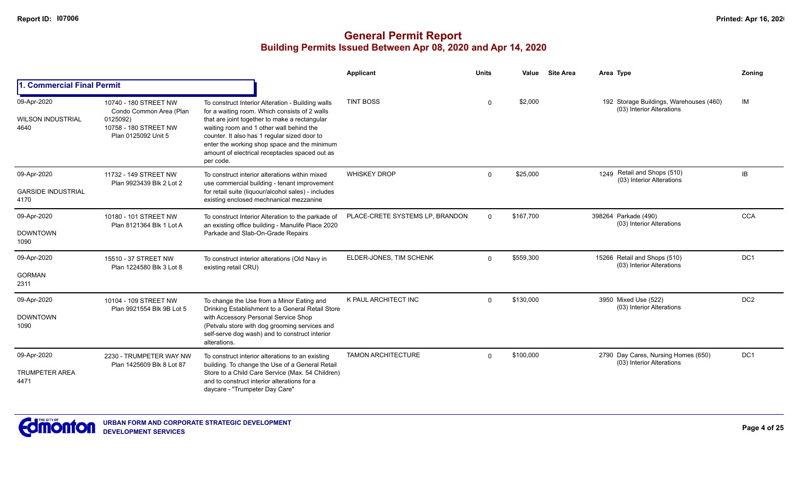|                                                  |                                                                                                              |                                                                                                                                                                                                                                                                                                                                                                | Applicant                       | <b>Units</b> | Value     | <b>Site Area</b> | Area Type                                                            | Zoning          |
|--------------------------------------------------|--------------------------------------------------------------------------------------------------------------|----------------------------------------------------------------------------------------------------------------------------------------------------------------------------------------------------------------------------------------------------------------------------------------------------------------------------------------------------------------|---------------------------------|--------------|-----------|------------------|----------------------------------------------------------------------|-----------------|
| <b>Commercial Final Permit</b>                   |                                                                                                              |                                                                                                                                                                                                                                                                                                                                                                |                                 |              |           |                  |                                                                      |                 |
| 09-Apr-2020<br><b>WILSON INDUSTRIAL</b><br>4640  | 10740 - 180 STREET NW<br>Condo Common Area (Plan<br>0125092)<br>10758 - 180 STREET NW<br>Plan 0125092 Unit 5 | To construct Interior Alteration - Building walls<br>for a waiting room. Which consists of 2 walls<br>that are joint together to make a rectangular<br>waiting room and 1 other wall behind the<br>counter. It also has 1 regular sized door to<br>enter the working shop space and the minimum<br>amount of electrical receptacles spaced out as<br>per code. | <b>TINT BOSS</b>                | <sup>0</sup> | \$2,000   |                  | 192 Storage Buildings, Warehouses (460)<br>(03) Interior Alterations | IM              |
| 09-Apr-2020<br><b>GARSIDE INDUSTRIAL</b><br>4170 | 11732 - 149 STREET NW<br>Plan 9923439 Blk 2 Lot 2                                                            | To construct interior alterations within mixed<br>use commercial building - tenant improvement<br>for retail suite (liquour/alcohol sales) - includes<br>existing enclosed mechnanical mezzanine                                                                                                                                                               | <b>WHISKEY DROP</b>             | $\Omega$     | \$25,000  |                  | Retail and Shops (510)<br>1249<br>(03) Interior Alterations          | IB              |
| 09-Apr-2020<br><b>DOWNTOWN</b><br>1090           | 10180 - 101 STREET NW<br>Plan 8121364 Blk 1 Lot A                                                            | To construct Interior Alteration to the parkade of<br>an existing office building - Manulife Place 2020<br>Parkade and Slab-On-Grade Repairs                                                                                                                                                                                                                   | PLACE-CRETE SYSTEMS LP, BRANDON | $\Omega$     | \$167,700 |                  | 398264 Parkade (490)<br>(03) Interior Alterations                    | <b>CCA</b>      |
| 09-Apr-2020<br><b>GORMAN</b><br>2311             | 15510 - 37 STREET NW<br>Plan 1224580 Blk 3 Lot 8                                                             | To construct interior alterations (Old Navy in<br>existing retail CRU)                                                                                                                                                                                                                                                                                         | ELDER-JONES, TIM SCHENK         | $\Omega$     | \$559,300 |                  | 15266 Retail and Shops (510)<br>(03) Interior Alterations            | DC1             |
| 09-Apr-2020<br><b>DOWNTOWN</b><br>1090           | 10104 - 109 STREET NW<br>Plan 9921554 Blk 9B Lot 5                                                           | To change the Use from a Minor Eating and<br>Drinking Establishment to a General Retail Store<br>with Accessory Personal Service Shop<br>(Petvalu store with dog grooming services and<br>self-serve dog wash) and to construct interior<br>alterations.                                                                                                       | K PAUL ARCHITECT INC            | $\Omega$     | \$130,000 |                  | 3950 Mixed Use (522)<br>(03) Interior Alterations                    | DC <sub>2</sub> |
| 09-Apr-2020<br><b>TRUMPETER AREA</b><br>4471     | 2230 - TRUMPETER WAY NW<br>Plan 1425609 Blk 8 Lot 87                                                         | To construct interior alterations to an existing<br>building. To change the Use of a General Retail<br>Store to a Child Care Service (Max. 54 Children)<br>and to construct interior alterations for a<br>daycare - "Trumpeter Day Care"                                                                                                                       | <b>TAMON ARCHITECTURE</b>       | $\Omega$     | \$100,000 |                  | 2790 Day Cares, Nursing Homes (650)<br>(03) Interior Alterations     | DC <sub>1</sub> |

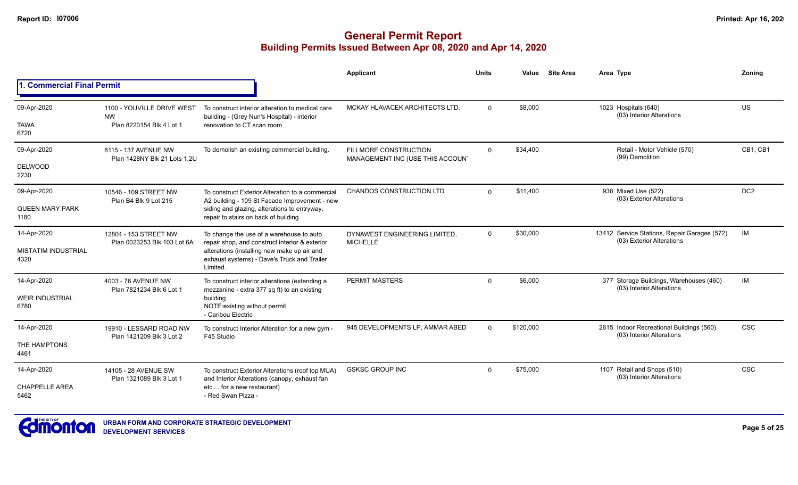|                                                   |                                                                     |                                                                                                                                                                                                      | <b>Applicant</b>                                                 | <b>Units</b> | Value     | <b>Site Area</b> | Area Type                                                                 | Zoning          |
|---------------------------------------------------|---------------------------------------------------------------------|------------------------------------------------------------------------------------------------------------------------------------------------------------------------------------------------------|------------------------------------------------------------------|--------------|-----------|------------------|---------------------------------------------------------------------------|-----------------|
| <b>1. Commercial Final Permit</b>                 |                                                                     |                                                                                                                                                                                                      |                                                                  |              |           |                  |                                                                           |                 |
| 09-Apr-2020<br><b>TAWA</b><br>6720                | 1100 - YOUVILLE DRIVE WEST<br><b>NW</b><br>Plan 8220154 Blk 4 Lot 1 | To construct interior alteration to medical care<br>building - (Grey Nun's Hospital) - interior<br>renovation to CT scan room                                                                        | MCKAY HLAVACEK ARCHITECTS LTD.                                   | $\Omega$     | \$8,000   |                  | 1023 Hospitals (640)<br>(03) Interior Alterations                         | <b>US</b>       |
| 09-Apr-2020<br><b>DELWOOD</b><br>2230             | 8115 - 137 AVENUE NW<br>Plan 1428NY Blk 21 Lots 1.2U                | To demolish an existing commercial building.                                                                                                                                                         | <b>FILLMORE CONSTRUCTION</b><br>MANAGEMENT INC (USE THIS ACCOUN' | $\mathbf 0$  | \$34,400  |                  | Retail - Motor Vehicle (570)<br>(99) Demolition                           | CB1, CB1        |
| 09-Apr-2020<br><b>QUEEN MARY PARK</b><br>1180     | 10546 - 109 STREET NW<br>Plan B4 Blk 9 Lot 215                      | To construct Exterior Alteration to a commercial<br>A2 building - 109 St Facade Improvement - new<br>siding and glazing, alterations to entryway,<br>repair to stairs on back of building            | CHANDOS CONSTRUCTION LTD                                         | $\Omega$     | \$11,400  |                  | 936 Mixed Use (522)<br>(03) Exterior Alterations                          | DC <sub>2</sub> |
| 14-Apr-2020<br><b>MISTATIM INDUSTRIAL</b><br>4320 | 12804 - 153 STREET NW<br>Plan 0023253 Blk 103 Lot 6A                | To change the use of a warehouse to auto<br>repair shop, and construct interior & exterior<br>alterations (installing new make up air and<br>exhaust systems) - Dave's Truck and Trailer<br>Limited. | DYNAWEST ENGINEERING LIMITED,<br><b>MICHELLE</b>                 | $\mathbf 0$  | \$30,000  |                  | 13412 Service Stations, Repair Garages (572)<br>(03) Exterior Alterations | IM              |
| 14-Apr-2020<br><b>WEIR INDUSTRIAL</b><br>6780     | 4003 - 76 AVENUE NW<br>Plan 7821234 Blk 6 Lot 1                     | To construct interior alterations (extending a<br>mezzanine - extra 377 sq ft) to an existing<br>building<br>NOTE: existing without permit<br>- Caribou Electric                                     | PERMIT MASTERS                                                   | $\mathbf 0$  | \$6,000   |                  | 377 Storage Buildings, Warehouses (460)<br>(03) Interior Alterations      | IM              |
| 14-Apr-2020<br>THE HAMPTONS<br>4461               | 19910 - LESSARD ROAD NW<br>Plan 1421209 Blk 3 Lot 2                 | To construct Interior Alteration for a new gym -<br>F45 Studio                                                                                                                                       | 945 DEVELOPMENTS LP, AMMAR ABED                                  | $\Omega$     | \$120,000 |                  | 2615 Indoor Recreational Buildings (560)<br>(03) Interior Alterations     | <b>CSC</b>      |
| 14-Apr-2020<br><b>CHAPPELLE AREA</b><br>5462      | 14105 - 28 AVENUE SW<br>Plan 1321089 Blk 3 Lot 1                    | To construct Exterior Alterations (roof top MUA)<br>and Interior Alterations (canopy, exhaust fan<br>etc for a new restaurant)<br>- Red Swan Pizza -                                                 | <b>GSKSC GROUP INC</b>                                           | $\Omega$     | \$75,000  |                  | 1107 Retail and Shops (510)<br>(03) Interior Alterations                  | <b>CSC</b>      |

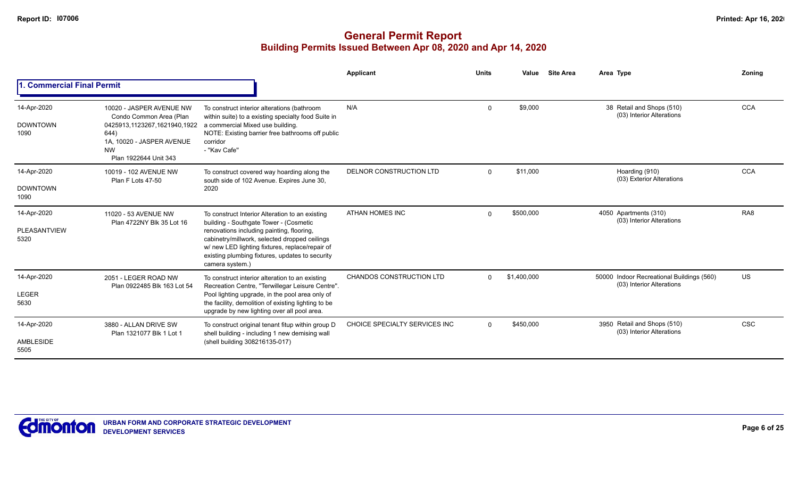|                                        |                                                                                                                                                                                                                                                                                                                                                                                                              |                                                                                                                                                                                                                                                                                               | <b>Applicant</b>                | <b>Units</b> | Value       | <b>Site Area</b> | Area Type                                                              | Zoning          |
|----------------------------------------|--------------------------------------------------------------------------------------------------------------------------------------------------------------------------------------------------------------------------------------------------------------------------------------------------------------------------------------------------------------------------------------------------------------|-----------------------------------------------------------------------------------------------------------------------------------------------------------------------------------------------------------------------------------------------------------------------------------------------|---------------------------------|--------------|-------------|------------------|------------------------------------------------------------------------|-----------------|
|                                        | . Commercial Final Permit<br>10020 - JASPER AVENUE NW<br>Condo Common Area (Plan<br>0425913,1123267,1621940,1922<br>644)<br>1A, 10020 - JASPER AVENUE<br>corridor<br>- "Kav Cafe"<br><b>NW</b><br>Plan 1922644 Unit 343<br>10019 - 102 AVENUE NW<br>Plan F Lots 47-50<br>2020<br>11020 - 53 AVENUE NW<br>Plan 4722NY Blk 35 Lot 16<br>camera system.)<br>2051 - LEGER ROAD NW<br>Plan 0922485 Blk 163 Lot 54 |                                                                                                                                                                                                                                                                                               |                                 |              |             |                  |                                                                        |                 |
| 14-Apr-2020<br><b>DOWNTOWN</b><br>1090 |                                                                                                                                                                                                                                                                                                                                                                                                              | To construct interior alterations (bathroom<br>within suite) to a existing specialty food Suite in<br>a commercial Mixed use building.<br>NOTE: Existing barrier free bathrooms off public                                                                                                    | N/A                             | $\mathbf 0$  | \$9,000     |                  | 38 Retail and Shops (510)<br>(03) Interior Alterations                 | <b>CCA</b>      |
| 14-Apr-2020<br><b>DOWNTOWN</b><br>1090 |                                                                                                                                                                                                                                                                                                                                                                                                              | To construct covered way hoarding along the<br>south side of 102 Avenue. Expires June 30,                                                                                                                                                                                                     | DELNOR CONSTRUCTION LTD         | $\Omega$     | \$11,000    |                  | Hoarding (910)<br>(03) Exterior Alterations                            | <b>CCA</b>      |
| 14-Apr-2020<br>PLEASANTVIEW<br>5320    |                                                                                                                                                                                                                                                                                                                                                                                                              | To construct Interior Alteration to an existing<br>building - Southgate Tower - (Cosmetic<br>renovations including painting, flooring,<br>cabinetry/millwork, selected dropped ceilings<br>w/ new LED lighting fixtures, replace/repair of<br>existing plumbing fixtures, updates to security | <b>ATHAN HOMES INC</b>          | $\Omega$     | \$500,000   |                  | 4050 Apartments (310)<br>(03) Interior Alterations                     | RA <sub>8</sub> |
| 14-Apr-2020<br><b>LEGER</b><br>5630    |                                                                                                                                                                                                                                                                                                                                                                                                              | To construct interior alteration to an existing<br>Recreation Centre, "Terwillegar Leisure Centre".<br>Pool lighting upgrade, in the pool area only of<br>the facility, demolition of existing lighting to be<br>upgrade by new lighting over all pool area.                                  | <b>CHANDOS CONSTRUCTION LTD</b> | $\Omega$     | \$1,400,000 |                  | 50000 Indoor Recreational Buildings (560)<br>(03) Interior Alterations | <b>US</b>       |
| 14-Apr-2020<br>AMBLESIDE<br>5505       | 3880 - ALLAN DRIVE SW<br>Plan 1321077 Blk 1 Lot 1                                                                                                                                                                                                                                                                                                                                                            | To construct original tenant fitup within group D<br>shell building - including 1 new demising wall<br>(shell building 308216135-017)                                                                                                                                                         | CHOICE SPECIALTY SERVICES INC   | $\Omega$     | \$450,000   |                  | 3950 Retail and Shops (510)<br>(03) Interior Alterations               | <b>CSC</b>      |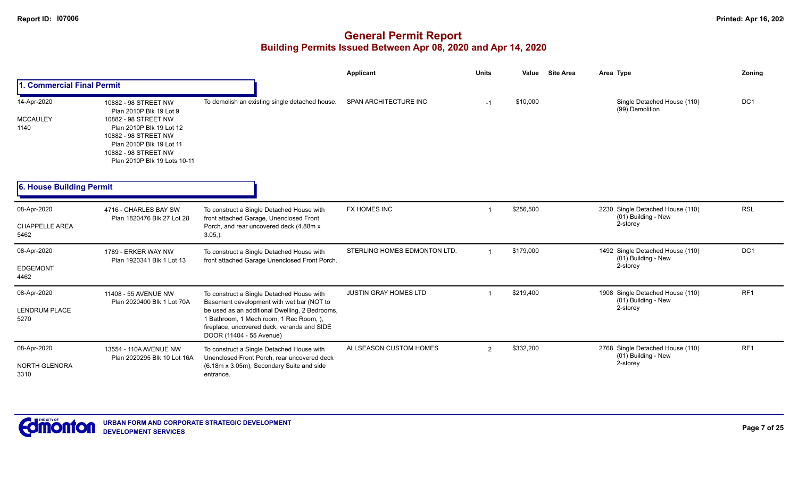|                                              |                                                                                                                                                                                                                 |                                                                                                                                                                                                                                                                | <b>Applicant</b>             | <b>Units</b> | <b>Site Area</b><br>Value | Area Type                                                           | Zoning          |
|----------------------------------------------|-----------------------------------------------------------------------------------------------------------------------------------------------------------------------------------------------------------------|----------------------------------------------------------------------------------------------------------------------------------------------------------------------------------------------------------------------------------------------------------------|------------------------------|--------------|---------------------------|---------------------------------------------------------------------|-----------------|
| 1. Commercial Final Permit                   |                                                                                                                                                                                                                 |                                                                                                                                                                                                                                                                |                              |              |                           |                                                                     |                 |
| 14-Apr-2020<br><b>MCCAULEY</b><br>1140       | 10882 - 98 STREET NW<br>Plan 2010P Blk 19 Lot 9<br>10882 - 98 STREET NW<br>Plan 2010P Blk 19 Lot 12<br>10882 - 98 STREET NW<br>Plan 2010P Blk 19 Lot 11<br>10882 - 98 STREET NW<br>Plan 2010P Blk 19 Lots 10-11 | To demolish an existing single detached house.                                                                                                                                                                                                                 | SPAN ARCHITECTURE INC        | $-1$         | \$10,000                  | Single Detached House (110)<br>(99) Demolition                      | DC <sub>1</sub> |
| 6. House Building Permit                     |                                                                                                                                                                                                                 |                                                                                                                                                                                                                                                                |                              |              |                           |                                                                     |                 |
| 08-Apr-2020<br><b>CHAPPELLE AREA</b><br>5462 | 4716 - CHARLES BAY SW<br>Plan 1820476 Blk 27 Lot 28                                                                                                                                                             | To construct a Single Detached House with<br>front attached Garage, Unenclosed Front<br>Porch, and rear uncovered deck (4.88m x<br>$3.05,$ ).                                                                                                                  | <b>FX HOMES INC</b>          |              | \$256,500                 | 2230 Single Detached House (110)<br>(01) Building - New<br>2-storey | <b>RSL</b>      |
| 08-Apr-2020<br>EDGEMONT<br>4462              | 1789 - ERKER WAY NW<br>Plan 1920341 Blk 1 Lot 13                                                                                                                                                                | To construct a Single Detached House with<br>front attached Garage Unenclosed Front Porch.                                                                                                                                                                     | STERLING HOMES EDMONTON LTD. |              | \$179,000                 | 1492 Single Detached House (110)<br>(01) Building - New<br>2-storey | DC <sub>1</sub> |
| 08-Apr-2020<br><b>LENDRUM PLACE</b><br>5270  | 11408 - 55 AVENUE NW<br>Plan 2020400 Blk 1 Lot 70A                                                                                                                                                              | To construct a Single Detached House with<br>Basement development with wet bar (NOT to<br>be used as an additional Dwelling, 2 Bedrooms,<br>1 Bathroom, 1 Mech room, 1 Rec Room, ),<br>fireplace, uncovered deck, veranda and SIDE<br>DOOR (11404 - 55 Avenue) | <b>JUSTIN GRAY HOMES LTD</b> |              | \$219,400                 | 1908 Single Detached House (110)<br>(01) Building - New<br>2-storey | RF1             |
| 08-Apr-2020<br><b>NORTH GLENORA</b><br>3310  | 13554 - 110A AVENUE NW<br>Plan 2020295 Blk 10 Lot 16A                                                                                                                                                           | To construct a Single Detached House with<br>Unenclosed Front Porch, rear uncovered deck<br>(6.18m x 3.05m), Secondary Suite and side<br>entrance.                                                                                                             | ALLSEASON CUSTOM HOMES       | 2            | \$332,200                 | 2768 Single Detached House (110)<br>(01) Building - New<br>2-storey | RF1             |

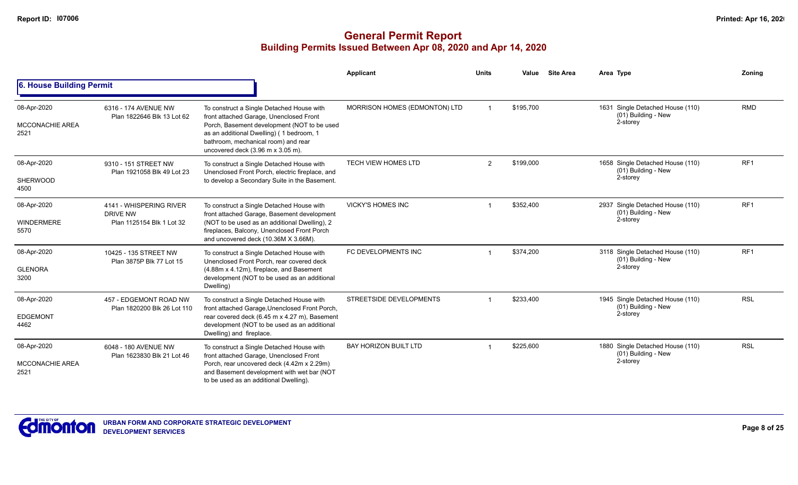|                                               |                                                                         |                                                                                                                                                                                                                                                                                     | <b>Applicant</b>              | <b>Units</b>   | Value     | <b>Site Area</b> | Area Type                                                           | Zoning          |
|-----------------------------------------------|-------------------------------------------------------------------------|-------------------------------------------------------------------------------------------------------------------------------------------------------------------------------------------------------------------------------------------------------------------------------------|-------------------------------|----------------|-----------|------------------|---------------------------------------------------------------------|-----------------|
| 6. House Building Permit                      |                                                                         |                                                                                                                                                                                                                                                                                     |                               |                |           |                  |                                                                     |                 |
| 08-Apr-2020<br><b>MCCONACHIE AREA</b><br>2521 | 6316 - 174 AVENUE NW<br>Plan 1822646 Blk 13 Lot 62                      | To construct a Single Detached House with<br>front attached Garage, Unenclosed Front<br>Porch, Basement development (NOT to be used<br>as an additional Dwelling) (1 bedroom, 1<br>bathroom, mechanical room) and rear<br>uncovered deck $(3.96 \text{ m} \times 3.05 \text{ m})$ . | MORRISON HOMES (EDMONTON) LTD |                | \$195,700 |                  | 1631 Single Detached House (110)<br>(01) Building - New<br>2-storey | <b>RMD</b>      |
| 08-Apr-2020<br><b>SHERWOOD</b><br>4500        | 9310 - 151 STREET NW<br>Plan 1921058 Blk 49 Lot 23                      | To construct a Single Detached House with<br>Unenclosed Front Porch, electric fireplace, and<br>to develop a Secondary Suite in the Basement.                                                                                                                                       | TECH VIEW HOMES LTD           | $\overline{2}$ | \$199,000 |                  | 1658 Single Detached House (110)<br>(01) Building - New<br>2-storey | RF <sub>1</sub> |
| 08-Apr-2020<br><b>WINDERMERE</b><br>5570      | 4141 - WHISPERING RIVER<br><b>DRIVE NW</b><br>Plan 1125154 Blk 1 Lot 32 | To construct a Single Detached House with<br>front attached Garage, Basement development<br>(NOT to be used as an additional Dwelling), 2<br>fireplaces, Balcony, Unenclosed Front Porch<br>and uncovered deck (10.36M X 3.66M).                                                    | <b>VICKY'S HOMES INC</b>      |                | \$352,400 |                  | 2937 Single Detached House (110)<br>(01) Building - New<br>2-storey | RF1             |
| 08-Apr-2020<br><b>GLENORA</b><br>3200         | 10425 - 135 STREET NW<br>Plan 3875P Blk 77 Lot 15                       | To construct a Single Detached House with<br>Unenclosed Front Porch, rear covered deck<br>(4.88m x 4.12m), fireplace, and Basement<br>development (NOT to be used as an additional<br>Dwelling)                                                                                     | FC DEVELOPMENTS INC           |                | \$374,200 |                  | 3118 Single Detached House (110)<br>(01) Building - New<br>2-storey | RF1             |
| 08-Apr-2020<br><b>EDGEMONT</b><br>4462        | 457 - EDGEMONT ROAD NW<br>Plan 1820200 Blk 26 Lot 110                   | To construct a Single Detached House with<br>front attached Garage, Unenclosed Front Porch,<br>rear covered deck (6.45 m x 4.27 m), Basement<br>development (NOT to be used as an additional<br>Dwelling) and fireplace.                                                            | STREETSIDE DEVELOPMENTS       |                | \$233,400 |                  | 1945 Single Detached House (110)<br>(01) Building - New<br>2-storey | <b>RSL</b>      |
| 08-Apr-2020<br><b>MCCONACHIE AREA</b><br>2521 | 6048 - 180 AVENUE NW<br>Plan 1623830 Blk 21 Lot 46                      | To construct a Single Detached House with<br>front attached Garage, Unenclosed Front<br>Porch, rear uncovered deck (4.42m x 2.29m)<br>and Basement development with wet bar (NOT<br>to be used as an additional Dwelling).                                                          | <b>BAY HORIZON BUILT LTD</b>  | -1             | \$225,600 |                  | 1880 Single Detached House (110)<br>(01) Building - New<br>2-storey | <b>RSL</b>      |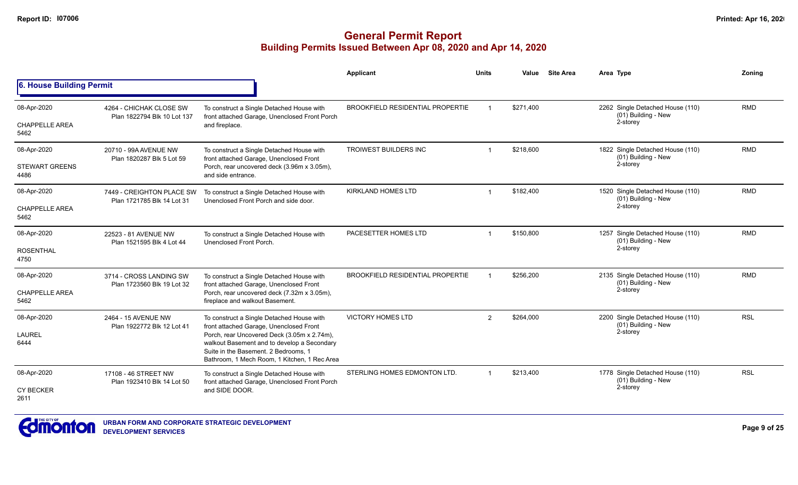|                               |                                                         |                                                                                                                                                                                    | Applicant                               | <b>Units</b>   | Value     | <b>Site Area</b> | Area Type                                               | Zonina     |
|-------------------------------|---------------------------------------------------------|------------------------------------------------------------------------------------------------------------------------------------------------------------------------------------|-----------------------------------------|----------------|-----------|------------------|---------------------------------------------------------|------------|
| 6. House Building Permit      |                                                         |                                                                                                                                                                                    |                                         |                |           |                  |                                                         |            |
| 08-Apr-2020                   | 4264 - CHICHAK CLOSE SW<br>Plan 1822794 Blk 10 Lot 137  | To construct a Single Detached House with<br>front attached Garage, Unenclosed Front Porch                                                                                         | <b>BROOKFIELD RESIDENTIAL PROPERTIE</b> |                | \$271.400 |                  | 2262 Single Detached House (110)<br>(01) Building - New | <b>RMD</b> |
| <b>CHAPPELLE AREA</b><br>5462 |                                                         | and fireplace.                                                                                                                                                                     |                                         |                |           |                  | 2-storey                                                |            |
| 08-Apr-2020                   | 20710 - 99A AVENUE NW<br>Plan 1820287 Blk 5 Lot 59      | To construct a Single Detached House with<br>front attached Garage, Unenclosed Front                                                                                               | <b>TROIWEST BUILDERS INC</b>            |                | \$218,600 |                  | 1822 Single Detached House (110)<br>(01) Building - New | <b>RMD</b> |
| <b>STEWART GREENS</b><br>4486 |                                                         | Porch, rear uncovered deck (3.96m x 3.05m),<br>and side entrance.                                                                                                                  |                                         |                |           |                  | 2-storey                                                |            |
| 08-Apr-2020                   | 7449 - CREIGHTON PLACE SW<br>Plan 1721785 Blk 14 Lot 31 | To construct a Single Detached House with<br>Unenclosed Front Porch and side door.                                                                                                 | <b>KIRKLAND HOMES LTD</b>               | $\overline{1}$ | \$182,400 |                  | 1520 Single Detached House (110)<br>(01) Building - New | <b>RMD</b> |
| <b>CHAPPELLE AREA</b><br>5462 |                                                         |                                                                                                                                                                                    |                                         |                |           |                  | 2-storey                                                |            |
| 08-Apr-2020                   | 22523 - 81 AVENUE NW<br>Plan 1521595 Blk 4 Lot 44       | To construct a Single Detached House with<br>Unenclosed Front Porch.                                                                                                               | PACESETTER HOMES LTD                    | 1              | \$150,800 |                  | 1257 Single Detached House (110)<br>(01) Building - New | <b>RMD</b> |
| <b>ROSENTHAL</b><br>4750      |                                                         |                                                                                                                                                                                    |                                         |                |           |                  | 2-storey                                                |            |
| 08-Apr-2020                   | 3714 - CROSS LANDING SW<br>Plan 1723560 Blk 19 Lot 32   | To construct a Single Detached House with<br>front attached Garage, Unenclosed Front                                                                                               | <b>BROOKFIELD RESIDENTIAL PROPERTIE</b> |                | \$256,200 |                  | 2135 Single Detached House (110)<br>(01) Building - New | <b>RMD</b> |
| <b>CHAPPELLE AREA</b><br>5462 |                                                         | Porch, rear uncovered deck (7.32m x 3.05m),<br>fireplace and walkout Basement.                                                                                                     |                                         |                |           | 2-storey         |                                                         |            |
| 08-Apr-2020                   | 2464 - 15 AVENUE NW                                     | To construct a Single Detached House with<br>front attached Garage, Unenclosed Front                                                                                               | <b>VICTORY HOMES LTD</b>                | $\overline{2}$ | \$264,000 |                  | 2200 Single Detached House (110)<br>(01) Building - New | <b>RSL</b> |
| <b>LAUREL</b><br>6444         | Plan 1922772 Blk 12 Lot 41                              | Porch, rear Uncovered Deck (3.05m x 2.74m),<br>walkout Basement and to develop a Secondary<br>Suite in the Basement, 2 Bedrooms, 1<br>Bathroom, 1 Mech Room, 1 Kitchen, 1 Rec Area |                                         |                |           |                  | 2-storey                                                |            |
| 08-Apr-2020                   | 17108 - 46 STREET NW<br>Plan 1923410 Blk 14 Lot 50      | To construct a Single Detached House with<br>front attached Garage, Unenclosed Front Porch                                                                                         | STERLING HOMES EDMONTON LTD.            | $\overline{1}$ | \$213,400 |                  | 1778 Single Detached House (110)<br>(01) Building - New | <b>RSL</b> |
| <b>CY BECKER</b><br>2611      |                                                         | and SIDE DOOR.                                                                                                                                                                     |                                         |                |           |                  | 2-storey                                                |            |

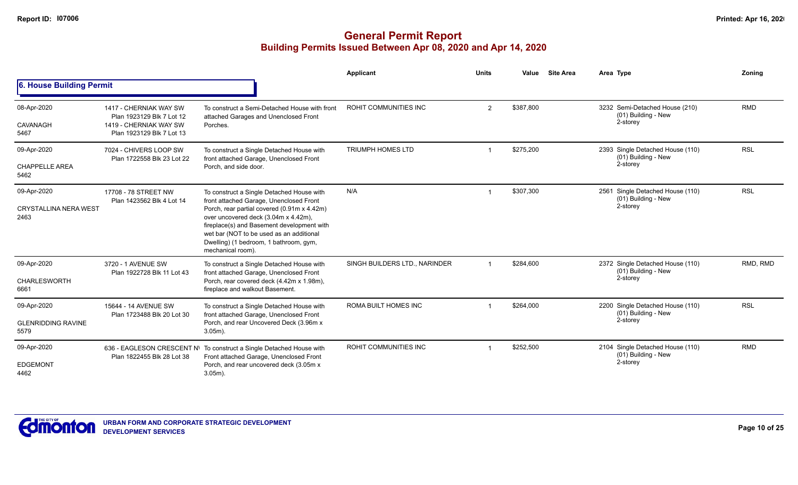|                                                     |                                                                                                            |                                                                                                                                                                                                                                                                                                                                      | <b>Applicant</b>              | <b>Units</b>   | Value     | <b>Site Area</b> | Area Type                                                           | Zoning     |
|-----------------------------------------------------|------------------------------------------------------------------------------------------------------------|--------------------------------------------------------------------------------------------------------------------------------------------------------------------------------------------------------------------------------------------------------------------------------------------------------------------------------------|-------------------------------|----------------|-----------|------------------|---------------------------------------------------------------------|------------|
| 6. House Building Permit                            |                                                                                                            |                                                                                                                                                                                                                                                                                                                                      |                               |                |           |                  |                                                                     |            |
| 08-Apr-2020<br>CAVANAGH<br>5467                     | 1417 - CHERNIAK WAY SW<br>Plan 1923129 Blk 7 Lot 12<br>1419 - CHERNIAK WAY SW<br>Plan 1923129 Blk 7 Lot 13 | To construct a Semi-Detached House with front<br>attached Garages and Unenclosed Front<br>Porches.                                                                                                                                                                                                                                   | <b>ROHIT COMMUNITIES INC</b>  | $\overline{2}$ | \$387,800 |                  | 3232 Semi-Detached House (210)<br>(01) Building - New<br>2-storey   | <b>RMD</b> |
| 09-Apr-2020<br><b>CHAPPELLE AREA</b><br>5462        | 7024 - CHIVERS LOOP SW<br>Plan 1722558 Blk 23 Lot 22                                                       | To construct a Single Detached House with<br>front attached Garage, Unenclosed Front<br>Porch, and side door.                                                                                                                                                                                                                        | <b>TRIUMPH HOMES LTD</b>      |                | \$275,200 |                  | 2393 Single Detached House (110)<br>(01) Building - New<br>2-storey | <b>RSL</b> |
| 09-Apr-2020<br><b>CRYSTALLINA NERA WEST</b><br>2463 | 17708 - 78 STREET NW<br>Plan 1423562 Blk 4 Lot 14                                                          | To construct a Single Detached House with<br>front attached Garage, Unenclosed Front<br>Porch, rear partial covered (0.91m x 4.42m)<br>over uncovered deck (3.04m x 4.42m),<br>fireplace(s) and Basement development with<br>wet bar (NOT to be used as an additional<br>Dwelling) (1 bedroom, 1 bathroom, gym,<br>mechanical room). | N/A                           |                | \$307,300 |                  | 2561 Single Detached House (110)<br>(01) Building - New<br>2-storey | <b>RSL</b> |
| 09-Apr-2020<br>CHARLESWORTH<br>6661                 | 3720 - 1 AVENUE SW<br>Plan 1922728 Blk 11 Lot 43                                                           | To construct a Single Detached House with<br>front attached Garage, Unenclosed Front<br>Porch, rear covered deck (4.42m x 1.98m),<br>fireplace and walkout Basement.                                                                                                                                                                 | SINGH BUILDERS LTD., NARINDER |                | \$284,600 |                  | 2372 Single Detached House (110)<br>(01) Building - New<br>2-storey | RMD, RMD   |
| 09-Apr-2020<br><b>GLENRIDDING RAVINE</b><br>5579    | 15644 - 14 AVENUE SW<br>Plan 1723488 Blk 20 Lot 30                                                         | To construct a Single Detached House with<br>front attached Garage, Unenclosed Front<br>Porch, and rear Uncovered Deck (3.96m x<br>$3.05m$ ).                                                                                                                                                                                        | <b>ROMA BUILT HOMES INC</b>   |                | \$264,000 |                  | 2200 Single Detached House (110)<br>(01) Building - New<br>2-storey | <b>RSL</b> |
| 09-Apr-2020<br><b>EDGEMONT</b><br>4462              | 636 - EAGLESON CRESCENT N\<br>Plan 1822455 Blk 28 Lot 38                                                   | To construct a Single Detached House with<br>Front attached Garage, Unenclosed Front<br>Porch, and rear uncovered deck (3.05m x<br>$3.05m$ ).                                                                                                                                                                                        | ROHIT COMMUNITIES INC         |                | \$252,500 |                  | 2104 Single Detached House (110)<br>(01) Building - New<br>2-storey | <b>RMD</b> |

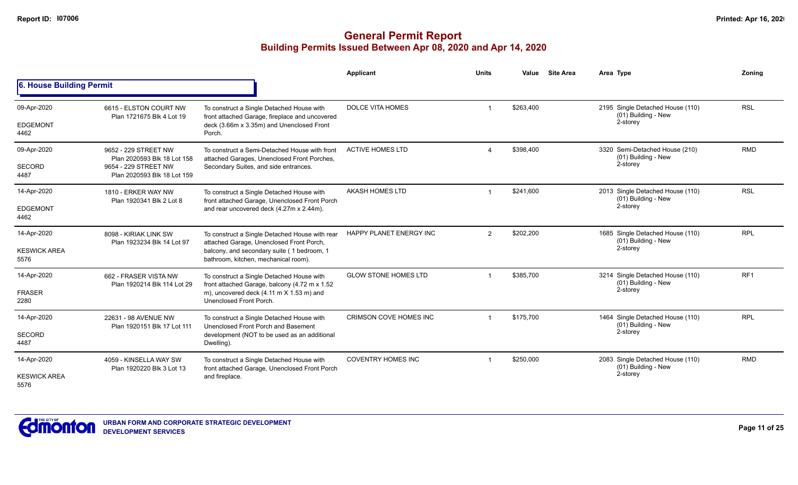|                             |                                                      |                                                                                              | Applicant                     | <b>Units</b>   | Value     | <b>Site Area</b> | Area Type                                                           | Zoning          |
|-----------------------------|------------------------------------------------------|----------------------------------------------------------------------------------------------|-------------------------------|----------------|-----------|------------------|---------------------------------------------------------------------|-----------------|
| 6. House Building Permit    |                                                      |                                                                                              |                               |                |           |                  |                                                                     |                 |
| 09-Apr-2020                 | 6615 - ELSTON COURT NW<br>Plan 1721675 Blk 4 Lot 19  | To construct a Single Detached House with<br>front attached Garage, fireplace and uncovered  | <b>DOLCE VITA HOMES</b>       |                | \$263,400 |                  | 2195 Single Detached House (110)<br>(01) Building - New<br>2-storey | <b>RSL</b>      |
| <b>EDGEMONT</b><br>4462     |                                                      | deck (3.66m x 3.35m) and Unenclosed Front<br>Porch.                                          |                               |                |           |                  |                                                                     |                 |
| 09-Apr-2020                 | 9652 - 229 STREET NW<br>Plan 2020593 Blk 18 Lot 158  | To construct a Semi-Detached House with front<br>attached Garages, Unenclosed Front Porches, | <b>ACTIVE HOMES LTD</b>       |                | \$398,400 |                  | 3320 Semi-Detached House (210)<br>(01) Building - New               | <b>RMD</b>      |
| <b>SECORD</b><br>4487       | 9654 - 229 STREET NW<br>Plan 2020593 Blk 18 Lot 159  | Secondary Suites, and side entrances.                                                        |                               |                |           |                  | 2-storey                                                            |                 |
| 14-Apr-2020                 | 1810 - ERKER WAY NW<br>Plan 1920341 Blk 2 Lot 8      | To construct a Single Detached House with<br>front attached Garage, Unenclosed Front Porch   | AKASH HOMES LTD               |                | \$241,600 |                  | 2013 Single Detached House (110)<br>(01) Building - New             | <b>RSL</b>      |
| <b>EDGEMONT</b><br>4462     |                                                      | and rear uncovered deck (4.27m x 2.44m).                                                     |                               |                |           |                  | 2-storey                                                            |                 |
| 14-Apr-2020                 | 8098 - KIRIAK LINK SW<br>Plan 1923234 Blk 14 Lot 97  | To construct a Single Detached House with rear<br>attached Garage, Unenclosed Front Porch,   | HAPPY PLANET ENERGY INC       | $\overline{2}$ | \$202,200 |                  | 1685 Single Detached House (110)<br>(01) Building - New             | <b>RPL</b>      |
| <b>KESWICK AREA</b><br>5576 |                                                      | balcony, and secondary suite (1 bedroom, 1<br>bathroom, kitchen, mechanical room).           |                               |                |           |                  | 2-storey                                                            |                 |
| 14-Apr-2020                 | 662 - FRASER VISTA NW<br>Plan 1920214 Blk 114 Lot 29 | To construct a Single Detached House with<br>front attached Garage, balcony (4.72 m x 1.52   | <b>GLOW STONE HOMES LTD</b>   |                | \$385,700 |                  | 3214 Single Detached House (110)<br>(01) Building - New             | RF <sub>1</sub> |
| <b>FRASER</b><br>2280       |                                                      | m), uncovered deck (4.11 m X 1.53 m) and<br>Unenclosed Front Porch.                          |                               |                |           |                  | 2-storey                                                            |                 |
| 14-Apr-2020                 | 22631 - 98 AVENUE NW                                 | To construct a Single Detached House with<br>Unenclosed Front Porch and Basement             | <b>CRIMSON COVE HOMES INC</b> |                | \$175,700 |                  | 1464 Single Detached House (110)<br>(01) Building - New             | <b>RPL</b>      |
| <b>SECORD</b><br>4487       | Plan 1920151 Blk 17 Lot 111                          | development (NOT to be used as an additional<br>Dwelling).                                   |                               |                |           | 2-storey         |                                                                     |                 |
| 14-Apr-2020                 | 4059 - KINSELLA WAY SW<br>Plan 1920220 Blk 3 Lot 13  | To construct a Single Detached House with<br>front attached Garage, Unenclosed Front Porch   | <b>COVENTRY HOMES INC</b>     | \$250,000      |           |                  | 2083 Single Detached House (110)<br>(01) Building - New             | <b>RMD</b>      |
| <b>KESWICK AREA</b><br>5576 |                                                      | and fireplace.                                                                               |                               |                |           |                  | 2-storey                                                            |                 |

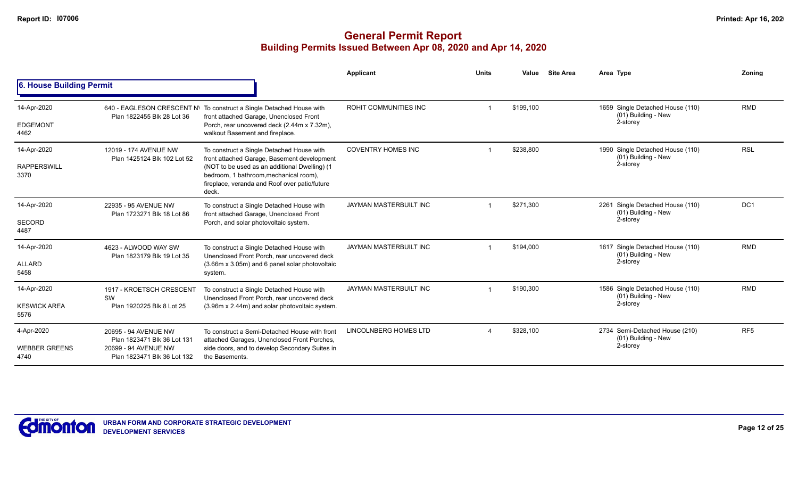|                              |                                                          |                                                                                                                                                   | Applicant                 | <b>Units</b>           | Value     | <b>Site Area</b> | Area Type                                                  | Zonina          |
|------------------------------|----------------------------------------------------------|---------------------------------------------------------------------------------------------------------------------------------------------------|---------------------------|------------------------|-----------|------------------|------------------------------------------------------------|-----------------|
| 6. House Building Permit     |                                                          |                                                                                                                                                   |                           |                        |           |                  |                                                            |                 |
| 14-Apr-2020                  | 640 - EAGLESON CRESCENT N\<br>Plan 1822455 Blk 28 Lot 36 | To construct a Single Detached House with<br>front attached Garage, Unenclosed Front                                                              | ROHIT COMMUNITIES INC     |                        | \$199,100 |                  | 1659 Single Detached House (110)<br>(01) Building - New    | <b>RMD</b>      |
| <b>EDGEMONT</b><br>4462      |                                                          | Porch, rear uncovered deck (2.44m x 7.32m),<br>walkout Basement and fireplace.                                                                    |                           |                        |           |                  | 2-storey                                                   |                 |
| 14-Apr-2020                  | 12019 - 174 AVENUE NW<br>Plan 1425124 Blk 102 Lot 52     | To construct a Single Detached House with<br>front attached Garage, Basement development                                                          | <b>COVENTRY HOMES INC</b> |                        | \$238,800 |                  | 1990 Single Detached House (110)<br>(01) Building - New    | <b>RSL</b>      |
| <b>RAPPERSWILL</b><br>3370   |                                                          | (NOT to be used as an additional Dwelling) (1<br>bedroom, 1 bathroom, mechanical room),<br>fireplace, veranda and Roof over patio/future<br>deck. |                           |                        |           | 2-storey         |                                                            |                 |
| 14-Apr-2020                  | 22935 - 95 AVENUE NW<br>Plan 1723271 Blk 18 Lot 86       | To construct a Single Detached House with<br>front attached Garage, Unenclosed Front                                                              | JAYMAN MASTERBUILT INC    |                        | \$271,300 |                  | Single Detached House (110)<br>2261<br>(01) Building - New | DC1             |
| <b>SECORD</b><br>4487        |                                                          | Porch, and solar photovoltaic system.                                                                                                             |                           |                        |           |                  | 2-storey                                                   |                 |
| 14-Apr-2020                  | 4623 - ALWOOD WAY SW<br>Plan 1823179 Blk 19 Lot 35       | To construct a Single Detached House with<br>Unenclosed Front Porch, rear uncovered deck                                                          | JAYMAN MASTERBUILT INC    |                        | \$194,000 |                  | 1617 Single Detached House (110)<br>(01) Building - New    | <b>RMD</b>      |
| <b>ALLARD</b><br>5458        |                                                          | (3.66m x 3.05m) and 6 panel solar photovoltaic<br>system.                                                                                         |                           |                        |           |                  | 2-storey                                                   |                 |
| 14-Apr-2020                  | 1917 - KROETSCH CRESCENT                                 | To construct a Single Detached House with<br>Unenclosed Front Porch, rear uncovered deck                                                          | JAYMAN MASTERBUILT INC    |                        | \$190,300 |                  | 1586 Single Detached House (110)<br>(01) Building - New    | <b>RMD</b>      |
| <b>KESWICK AREA</b><br>5576  | SW<br>Plan 1920225 Blk 8 Lot 25                          | (3.96m x 2.44m) and solar photovoltaic system.                                                                                                    |                           |                        |           |                  | 2-storey                                                   |                 |
| 4-Apr-2020                   | 20695 - 94 AVENUE NW<br>Plan 1823471 Blk 36 Lot 131      | To construct a Semi-Detached House with front<br>attached Garages, Unenclosed Front Porches,                                                      | LINCOLNBERG HOMES LTD     | $\boldsymbol{\Lambda}$ | \$328,100 |                  | 2734 Semi-Detached House (210)<br>(01) Building - New      | RF <sub>5</sub> |
| <b>WEBBER GREENS</b><br>4740 | 20699 - 94 AVENUE NW<br>Plan 1823471 Blk 36 Lot 132      | side doors, and to develop Secondary Suites in<br>the Basements.                                                                                  |                           |                        |           |                  | 2-storey                                                   |                 |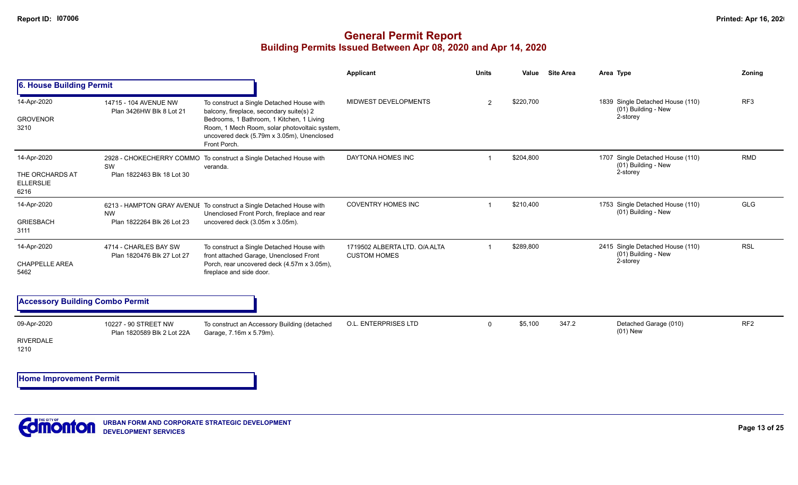### **General Permit Report Building Permits Issued Between Apr 08, 2020 and Apr 14, 2020**

|                                                            |                                                     |                                                                                                                                                                                                                                                   | Applicant                                            | <b>Units</b>  | Value     | <b>Site Area</b> | Area Type                                                           | Zoning          |
|------------------------------------------------------------|-----------------------------------------------------|---------------------------------------------------------------------------------------------------------------------------------------------------------------------------------------------------------------------------------------------------|------------------------------------------------------|---------------|-----------|------------------|---------------------------------------------------------------------|-----------------|
| 6. House Building Permit                                   |                                                     |                                                                                                                                                                                                                                                   |                                                      |               |           |                  |                                                                     |                 |
| 14-Apr-2020<br><b>GROVENOR</b><br>3210                     | 14715 - 104 AVENUE NW<br>Plan 3426HW Blk 8 Lot 21   | To construct a Single Detached House with<br>balcony, fireplace, secondary suite(s) 2<br>Bedrooms, 1 Bathroom, 1 Kitchen, 1 Living<br>Room, 1 Mech Room, solar photovoltaic system,<br>uncovered deck (5.79m x 3.05m), Unenclosed<br>Front Porch. | MIDWEST DEVELOPMENTS                                 | $\mathcal{P}$ | \$220,700 |                  | 1839 Single Detached House (110)<br>(01) Building - New<br>2-storey | RF3             |
| 14-Apr-2020<br>THE ORCHARDS AT<br><b>ELLERSLIE</b><br>6216 | SW<br>Plan 1822463 Blk 18 Lot 30                    | 2928 - CHOKECHERRY COMMO To construct a Single Detached House with<br>veranda.                                                                                                                                                                    | DAYTONA HOMES INC                                    |               | \$204,800 |                  | 1707 Single Detached House (110)<br>(01) Building - New<br>2-storey | <b>RMD</b>      |
| 14-Apr-2020<br><b>GRIESBACH</b><br>3111                    | <b>NW</b><br>Plan 1822264 Blk 26 Lot 23             | 6213 - HAMPTON GRAY AVENUE To construct a Single Detached House with<br>Unenclosed Front Porch, fireplace and rear<br>uncovered deck (3.05m x 3.05m).                                                                                             | <b>COVENTRY HOMES INC</b>                            |               | \$210,400 |                  | 1753 Single Detached House (110)<br>(01) Building - New             | <b>GLG</b>      |
| 14-Apr-2020<br><b>CHAPPELLE AREA</b><br>5462               | 4714 - CHARLES BAY SW<br>Plan 1820476 Blk 27 Lot 27 | To construct a Single Detached House with<br>front attached Garage, Unenclosed Front<br>Porch, rear uncovered deck (4.57m x 3.05m),<br>fireplace and side door.                                                                                   | 1719502 ALBERTA LTD, O/A ALTA<br><b>CUSTOM HOMES</b> |               | \$289,800 |                  | 2415 Single Detached House (110)<br>(01) Building - New<br>2-storey | <b>RSL</b>      |
| <b>Accessory Building Combo Permit</b>                     |                                                     |                                                                                                                                                                                                                                                   |                                                      |               |           |                  |                                                                     |                 |
| 09-Apr-2020<br><b>RIVERDALE</b><br>1210                    | 10227 - 90 STREET NW<br>Plan 1820589 Blk 2 Lot 22A  | To construct an Accessory Building (detached<br>Garage, 7.16m x 5.79m).                                                                                                                                                                           | <b>O.L. ENTERPRISES LTD</b>                          | $\Omega$      | \$5,100   | 347.2            | Detached Garage (010)<br>$(01)$ New                                 | RF <sub>2</sub> |

**Home Improvement Permit**

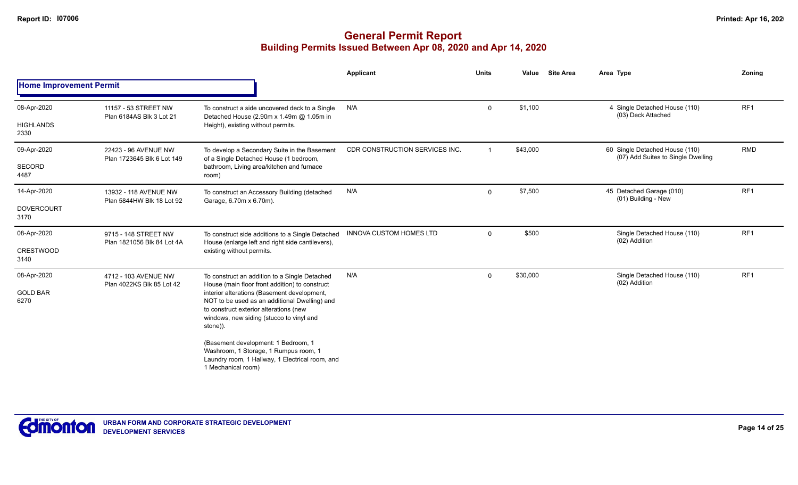|                                          |                                                    |                                                                                                                                                                                                                                                                                                                                                                                                                                                            | Applicant                      | <b>Units</b>   | Value    | <b>Site Area</b> | Area Type                                                            | Zoning          |
|------------------------------------------|----------------------------------------------------|------------------------------------------------------------------------------------------------------------------------------------------------------------------------------------------------------------------------------------------------------------------------------------------------------------------------------------------------------------------------------------------------------------------------------------------------------------|--------------------------------|----------------|----------|------------------|----------------------------------------------------------------------|-----------------|
| <b>Home Improvement Permit</b>           |                                                    |                                                                                                                                                                                                                                                                                                                                                                                                                                                            |                                |                |          |                  |                                                                      |                 |
| 08-Apr-2020<br><b>HIGHLANDS</b><br>2330  | 11157 - 53 STREET NW<br>Plan 6184AS Blk 3 Lot 21   | To construct a side uncovered deck to a Single<br>Detached House (2.90m x 1.49m @ 1.05m in<br>Height), existing without permits.                                                                                                                                                                                                                                                                                                                           | N/A                            | 0              | \$1,100  |                  | 4 Single Detached House (110)<br>(03) Deck Attached                  | RF <sub>1</sub> |
| 09-Apr-2020<br><b>SECORD</b><br>4487     | 22423 - 96 AVENUE NW<br>Plan 1723645 Blk 6 Lot 149 | To develop a Secondary Suite in the Basement<br>of a Single Detached House (1 bedroom,<br>bathroom, Living area/kitchen and furnace<br>room)                                                                                                                                                                                                                                                                                                               | CDR CONSTRUCTION SERVICES INC. | $\overline{1}$ | \$43,000 |                  | 60 Single Detached House (110)<br>(07) Add Suites to Single Dwelling | <b>RMD</b>      |
| 14-Apr-2020<br><b>DOVERCOURT</b><br>3170 | 13932 - 118 AVENUE NW<br>Plan 5844HW Blk 18 Lot 92 | To construct an Accessory Building (detached<br>Garage, 6.70m x 6.70m).                                                                                                                                                                                                                                                                                                                                                                                    | N/A                            | 0              | \$7,500  |                  | 45 Detached Garage (010)<br>(01) Building - New                      | RF <sub>1</sub> |
| 08-Apr-2020<br><b>CRESTWOOD</b><br>3140  | 9715 - 148 STREET NW<br>Plan 1821056 Blk 84 Lot 4A | To construct side additions to a Single Detached<br>House (enlarge left and right side cantilevers),<br>existing without permits.                                                                                                                                                                                                                                                                                                                          | INNOVA CUSTOM HOMES LTD        | $\mathbf 0$    | \$500    |                  | Single Detached House (110)<br>(02) Addition                         | RF1             |
| 08-Apr-2020<br><b>GOLD BAR</b><br>6270   | 4712 - 103 AVENUE NW<br>Plan 4022KS Blk 85 Lot 42  | To construct an addition to a Single Detached<br>House (main floor front addition) to construct<br>interior alterations (Basement development,<br>NOT to be used as an additional Dwelling) and<br>to construct exterior alterations (new<br>windows, new siding (stucco to vinyl and<br>stone)).<br>(Basement development: 1 Bedroom, 1<br>Washroom, 1 Storage, 1 Rumpus room, 1<br>Laundry room, 1 Hallway, 1 Electrical room, and<br>1 Mechanical room) | N/A                            | 0              | \$30,000 |                  | Single Detached House (110)<br>(02) Addition                         | RF <sub>1</sub> |

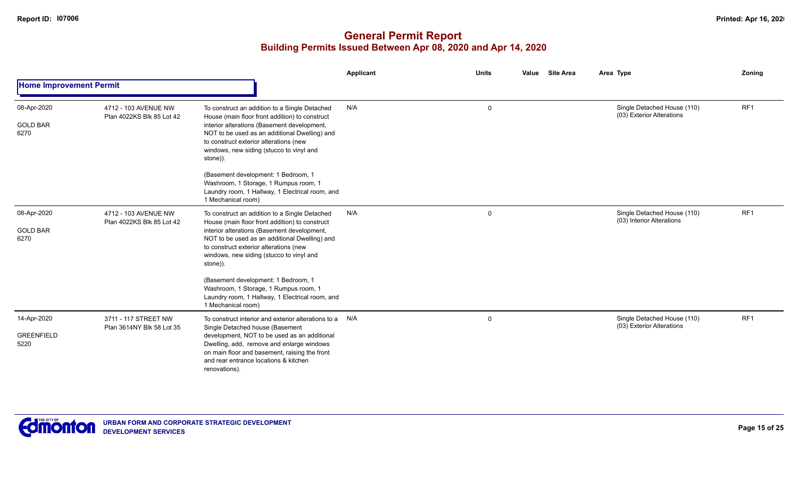|                                          |                                                   |                                                                                                                                                                                                                                                                                                    | Applicant | <b>Units</b> | <b>Site Area</b><br>Value | Area Type                                                | Zoning          |
|------------------------------------------|---------------------------------------------------|----------------------------------------------------------------------------------------------------------------------------------------------------------------------------------------------------------------------------------------------------------------------------------------------------|-----------|--------------|---------------------------|----------------------------------------------------------|-----------------|
| <b>Home Improvement Permit</b>           |                                                   |                                                                                                                                                                                                                                                                                                    |           |              |                           |                                                          |                 |
| 08-Apr-2020<br><b>GOLD BAR</b><br>6270   | 4712 - 103 AVENUE NW<br>Plan 4022KS Blk 85 Lot 42 | To construct an addition to a Single Detached<br>House (main floor front addition) to construct<br>interior alterations (Basement development,<br>NOT to be used as an additional Dwelling) and<br>to construct exterior alterations (new<br>windows, new siding (stucco to vinyl and<br>stone)).  | N/A       | $\mathbf 0$  |                           | Single Detached House (110)<br>(03) Exterior Alterations | RF1             |
|                                          |                                                   | (Basement development: 1 Bedroom, 1<br>Washroom, 1 Storage, 1 Rumpus room, 1<br>Laundry room, 1 Hallway, 1 Electrical room, and<br>1 Mechanical room)                                                                                                                                              |           |              |                           |                                                          |                 |
| 08-Apr-2020<br><b>GOLD BAR</b><br>6270   | 4712 - 103 AVENUE NW<br>Plan 4022KS Blk 85 Lot 42 | To construct an addition to a Single Detached<br>House (main floor front addition) to construct<br>interior alterations (Basement development,<br>NOT to be used as an additional Dwelling) and<br>to construct exterior alterations (new<br>windows, new siding (stucco to vinyl and<br>stone)).  | N/A       | $\mathbf 0$  |                           | Single Detached House (110)<br>(03) Interior Alterations | RF <sub>1</sub> |
|                                          |                                                   | (Basement development: 1 Bedroom, 1<br>Washroom, 1 Storage, 1 Rumpus room, 1<br>Laundry room, 1 Hallway, 1 Electrical room, and<br>1 Mechanical room)                                                                                                                                              |           |              |                           |                                                          |                 |
| 14-Apr-2020<br><b>GREENFIELD</b><br>5220 | 3711 - 117 STREET NW<br>Plan 3614NY Blk 58 Lot 35 | To construct interior and exterior alterations to a N/A<br>Single Detached house (Basement<br>development, NOT to be used as an additional<br>Dwelling, add, remove and enlarge windows<br>on main floor and basement, raising the front<br>and rear entrance locations & kitchen<br>renovations). |           | $\mathbf 0$  |                           | Single Detached House (110)<br>(03) Exterior Alterations | RF <sub>1</sub> |

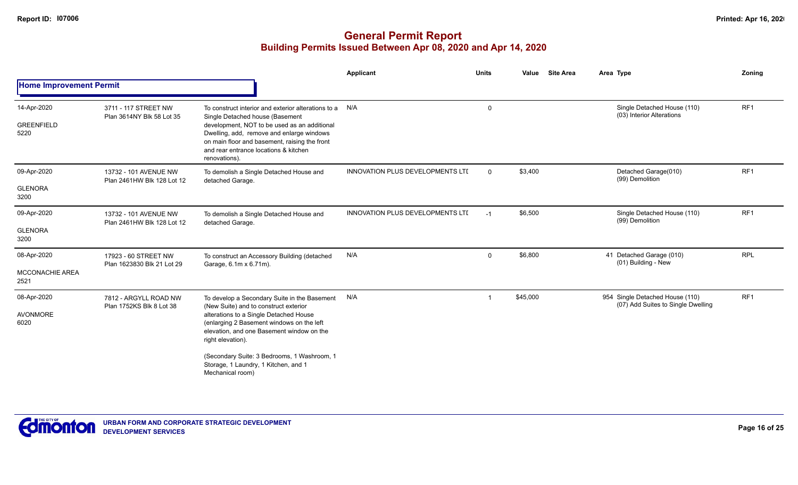|                                               |                                                     |                                                                                                                                                                                                                                                                                                                                                           | <b>Applicant</b>                 | <b>Units</b> | <b>Site Area</b><br>Value | Area Type                                                             | Zoning          |
|-----------------------------------------------|-----------------------------------------------------|-----------------------------------------------------------------------------------------------------------------------------------------------------------------------------------------------------------------------------------------------------------------------------------------------------------------------------------------------------------|----------------------------------|--------------|---------------------------|-----------------------------------------------------------------------|-----------------|
| <b>Home Improvement Permit</b>                |                                                     |                                                                                                                                                                                                                                                                                                                                                           |                                  |              |                           |                                                                       |                 |
| 14-Apr-2020<br><b>GREENFIELD</b><br>5220      | 3711 - 117 STREET NW<br>Plan 3614NY Blk 58 Lot 35   | To construct interior and exterior alterations to a N/A<br>Single Detached house (Basement<br>development, NOT to be used as an additional<br>Dwelling, add, remove and enlarge windows<br>on main floor and basement, raising the front<br>and rear entrance locations & kitchen<br>renovations).                                                        |                                  | 0            |                           | Single Detached House (110)<br>(03) Interior Alterations              | RF <sub>1</sub> |
| 09-Apr-2020<br><b>GLENORA</b><br>3200         | 13732 - 101 AVENUE NW<br>Plan 2461HW Blk 128 Lot 12 | To demolish a Single Detached House and<br>detached Garage.                                                                                                                                                                                                                                                                                               | INNOVATION PLUS DEVELOPMENTS LTI | $\Omega$     | \$3,400                   | Detached Garage(010)<br>(99) Demolition                               | RF <sub>1</sub> |
| 09-Apr-2020<br><b>GLENORA</b><br>3200         | 13732 - 101 AVENUE NW<br>Plan 2461HW Blk 128 Lot 12 | To demolish a Single Detached House and<br>detached Garage.                                                                                                                                                                                                                                                                                               | INNOVATION PLUS DEVELOPMENTS LTI | $-1$         | \$6,500                   | Single Detached House (110)<br>(99) Demolition                        | RF <sub>1</sub> |
| 08-Apr-2020<br><b>MCCONACHIE AREA</b><br>2521 | 17923 - 60 STREET NW<br>Plan 1623830 Blk 21 Lot 29  | To construct an Accessory Building (detached<br>Garage, 6.1m x 6.71m).                                                                                                                                                                                                                                                                                    | N/A                              | 0            | \$6,800                   | 41 Detached Garage (010)<br>(01) Building - New                       | <b>RPL</b>      |
| 08-Apr-2020<br><b>AVONMORE</b><br>6020        | 7812 - ARGYLL ROAD NW<br>Plan 1752KS Blk 8 Lot 38   | To develop a Secondary Suite in the Basement<br>(New Suite) and to construct exterior<br>alterations to a Single Detached House<br>(enlarging 2 Basement windows on the left<br>elevation, and one Basement window on the<br>right elevation).<br>(Secondary Suite: 3 Bedrooms, 1 Washroom, 1<br>Storage, 1 Laundry, 1 Kitchen, and 1<br>Mechanical room) | N/A                              | $\mathbf 1$  | \$45,000                  | 954 Single Detached House (110)<br>(07) Add Suites to Single Dwelling | RF <sub>1</sub> |

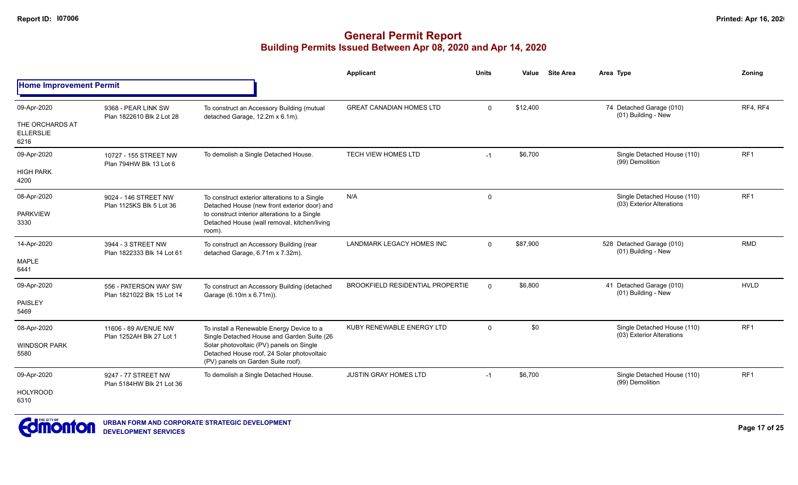|                                                            |                                                     |                                                                                                                                                                                                                         | Applicant                               | <b>Units</b> | Value    | <b>Site Area</b> | Area Type                                                | Zonina          |
|------------------------------------------------------------|-----------------------------------------------------|-------------------------------------------------------------------------------------------------------------------------------------------------------------------------------------------------------------------------|-----------------------------------------|--------------|----------|------------------|----------------------------------------------------------|-----------------|
| <b>Home Improvement Permit</b>                             |                                                     |                                                                                                                                                                                                                         |                                         |              |          |                  |                                                          |                 |
| 09-Apr-2020<br>THE ORCHARDS AT<br><b>ELLERSLIE</b><br>6216 | 9368 - PEAR LINK SW<br>Plan 1822610 Blk 2 Lot 28    | To construct an Accessory Building (mutual<br>detached Garage, 12.2m x 6.1m).                                                                                                                                           | <b>GREAT CANADIAN HOMES LTD</b>         | $\mathbf 0$  | \$12,400 |                  | 74 Detached Garage (010)<br>(01) Building - New          | RF4, RF4        |
| 09-Apr-2020<br><b>HIGH PARK</b><br>4200                    | 10727 - 155 STREET NW<br>Plan 794HW Blk 13 Lot 6    | To demolish a Single Detached House.                                                                                                                                                                                    | <b>TECH VIEW HOMES LTD</b>              | $-1$         | \$6,700  |                  | Single Detached House (110)<br>(99) Demolition           | RF <sub>1</sub> |
| 08-Apr-2020<br><b>PARKVIEW</b><br>3330                     | 9024 - 146 STREET NW<br>Plan 1125KS Blk 5 Lot 36    | To construct exterior alterations to a Single<br>Detached House (new front exterior door) and<br>to construct interior alterations to a Single<br>Detached House (wall removal, kitchen/living<br>room).                | N/A                                     | $\mathbf 0$  |          |                  | Single Detached House (110)<br>(03) Exterior Alterations | RF1             |
| 14-Apr-2020<br>MAPLE<br>6441                               | 3944 - 3 STREET NW<br>Plan 1822333 Blk 14 Lot 61    | To construct an Accessory Building (rear<br>detached Garage, 6.71m x 7.32m).                                                                                                                                            | <b>LANDMARK LEGACY HOMES INC</b>        | $\Omega$     | \$87,900 |                  | 528 Detached Garage (010)<br>(01) Building - New         | <b>RMD</b>      |
| 09-Apr-2020<br><b>PAISLEY</b><br>5469                      | 556 - PATERSON WAY SW<br>Plan 1821022 Blk 15 Lot 14 | To construct an Accessory Building (detached<br>Garage (6.10m x 6.71m)).                                                                                                                                                | <b>BROOKFIELD RESIDENTIAL PROPERTIE</b> | $\Omega$     | \$6,800  |                  | 41 Detached Garage (010)<br>(01) Building - New          | <b>HVLD</b>     |
| 08-Apr-2020<br><b>WINDSOR PARK</b><br>5580                 | 11606 - 89 AVENUE NW<br>Plan 1252AH Blk 27 Lot 1    | To install a Renewable Energy Device to a<br>Single Detached House and Garden Suite (26<br>Solar photovoltaic (PV) panels on Single<br>Detached House roof, 24 Solar photovoltaic<br>(PV) panels on Garden Suite roof). | KUBY RENEWABLE ENERGY LTD               | $\Omega$     | \$0      |                  | Single Detached House (110)<br>(03) Exterior Alterations | RF1             |
| 09-Apr-2020<br><b>HOLYROOD</b><br>6310                     | 9247 - 77 STREET NW<br>Plan 5184HW Blk 21 Lot 36    | To demolish a Single Detached House.                                                                                                                                                                                    | <b>JUSTIN GRAY HOMES LTD</b>            | $-1$         | \$6,700  |                  | Single Detached House (110)<br>(99) Demolition           | RF <sub>1</sub> |

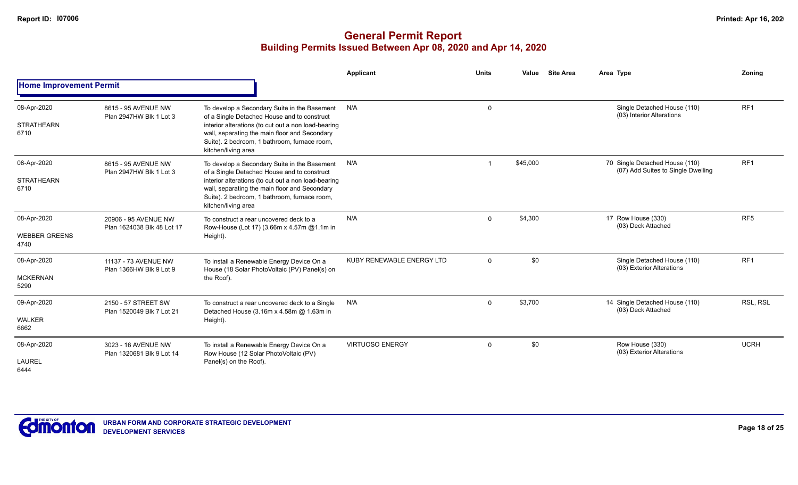|                                             |                                                    |                                                                                                                                                                                                                                                                            | Applicant                 | <b>Units</b> | Value    | <b>Site Area</b> | Area Type                                                            | Zoning          |
|---------------------------------------------|----------------------------------------------------|----------------------------------------------------------------------------------------------------------------------------------------------------------------------------------------------------------------------------------------------------------------------------|---------------------------|--------------|----------|------------------|----------------------------------------------------------------------|-----------------|
| <b>Home Improvement Permit</b>              |                                                    |                                                                                                                                                                                                                                                                            |                           |              |          |                  |                                                                      |                 |
| 08-Apr-2020<br><b>STRATHEARN</b><br>6710    | 8615 - 95 AVENUE NW<br>Plan 2947HW Blk 1 Lot 3     | To develop a Secondary Suite in the Basement<br>of a Single Detached House and to construct<br>interior alterations (to cut out a non load-bearing<br>wall, separating the main floor and Secondary<br>Suite). 2 bedroom, 1 bathroom, furnace room,<br>kitchen/living area | N/A                       | $\mathbf 0$  |          |                  | Single Detached House (110)<br>(03) Interior Alterations             | RF <sub>1</sub> |
| 08-Apr-2020<br><b>STRATHEARN</b><br>6710    | 8615 - 95 AVENUE NW<br>Plan 2947HW Blk 1 Lot 3     | To develop a Secondary Suite in the Basement<br>of a Single Detached House and to construct<br>interior alterations (to cut out a non load-bearing<br>wall, separating the main floor and Secondary<br>Suite). 2 bedroom, 1 bathroom, furnace room,<br>kitchen/living area | N/A                       |              | \$45,000 |                  | 70 Single Detached House (110)<br>(07) Add Suites to Single Dwelling | RF <sub>1</sub> |
| 08-Apr-2020<br><b>WEBBER GREENS</b><br>4740 | 20906 - 95 AVENUE NW<br>Plan 1624038 Blk 48 Lot 17 | To construct a rear uncovered deck to a<br>Row-House (Lot 17) (3.66m x 4.57m @1.1m in<br>Height).                                                                                                                                                                          | N/A                       | $\Omega$     | \$4,300  |                  | 17 Row House (330)<br>(03) Deck Attached                             | RF <sub>5</sub> |
| 08-Apr-2020<br><b>MCKERNAN</b><br>5290      | 11137 - 73 AVENUE NW<br>Plan 1366HW Blk 9 Lot 9    | To install a Renewable Energy Device On a<br>House (18 Solar PhotoVoltaic (PV) Panel(s) on<br>the Roof).                                                                                                                                                                   | KUBY RENEWABLE ENERGY LTD | $\mathbf{0}$ | \$0      |                  | Single Detached House (110)<br>(03) Exterior Alterations             | RF <sub>1</sub> |
| 09-Apr-2020<br><b>WALKER</b><br>6662        | 2150 - 57 STREET SW<br>Plan 1520049 Blk 7 Lot 21   | To construct a rear uncovered deck to a Single<br>Detached House (3.16m x 4.58m @ 1.63m in<br>Height).                                                                                                                                                                     | N/A                       | $\Omega$     | \$3,700  |                  | 14 Single Detached House (110)<br>(03) Deck Attached                 | RSL, RSL        |
| 08-Apr-2020<br><b>LAUREL</b><br>6444        | 3023 - 16 AVENUE NW<br>Plan 1320681 Blk 9 Lot 14   | To install a Renewable Energy Device On a<br>Row House (12 Solar PhotoVoltaic (PV)<br>Panel(s) on the Roof).                                                                                                                                                               | <b>VIRTUOSO ENERGY</b>    | $\mathbf 0$  | \$0      |                  | Row House (330)<br>(03) Exterior Alterations                         | <b>UCRH</b>     |

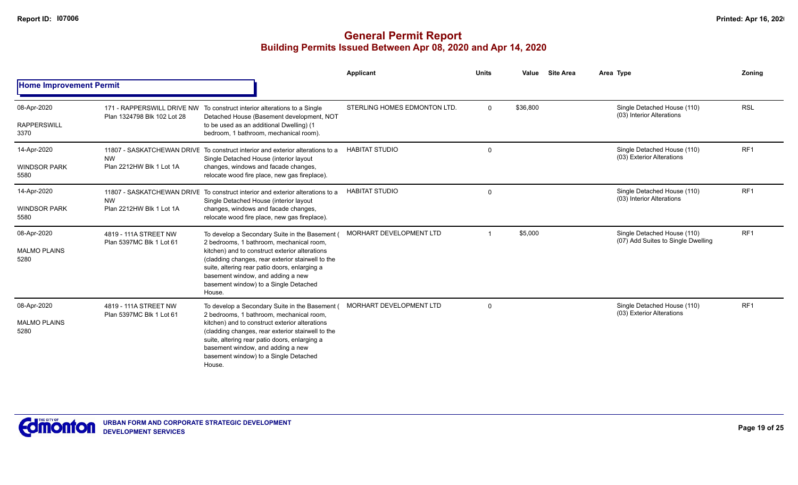|                                            |                                                   |                                                                                                                                                                                                                                                                                                                                            | Applicant                    | <b>Units</b> | Value    | <b>Site Area</b> | Area Type                                                         | Zoning          |
|--------------------------------------------|---------------------------------------------------|--------------------------------------------------------------------------------------------------------------------------------------------------------------------------------------------------------------------------------------------------------------------------------------------------------------------------------------------|------------------------------|--------------|----------|------------------|-------------------------------------------------------------------|-----------------|
| <b>Home Improvement Permit</b>             |                                                   |                                                                                                                                                                                                                                                                                                                                            |                              |              |          |                  |                                                                   |                 |
| 08-Apr-2020<br><b>RAPPERSWILL</b><br>3370  | Plan 1324798 Blk 102 Lot 28                       | 171 - RAPPERSWILL DRIVE NW To construct interior alterations to a Single<br>Detached House (Basement development, NOT<br>to be used as an additional Dwelling) (1<br>bedroom, 1 bathroom, mechanical room).                                                                                                                                | STERLING HOMES EDMONTON LTD. | $\Omega$     | \$36,800 |                  | Single Detached House (110)<br>(03) Interior Alterations          | <b>RSL</b>      |
| 14-Apr-2020<br><b>WINDSOR PARK</b><br>5580 | <b>NW</b><br>Plan 2212HW Blk 1 Lot 1A             | 11807 - SASKATCHEWAN DRIVE To construct interior and exterior alterations to a<br>Single Detached House (interior layout<br>changes, windows and facade changes,<br>relocate wood fire place, new gas fireplace).                                                                                                                          | <b>HABITAT STUDIO</b>        | $\Omega$     |          |                  | Single Detached House (110)<br>(03) Exterior Alterations          | RF <sub>1</sub> |
| 14-Apr-2020<br><b>WINDSOR PARK</b><br>5580 | <b>NW</b><br>Plan 2212HW Blk 1 Lot 1A             | 11807 - SASKATCHEWAN DRIVE To construct interior and exterior alterations to a<br>Single Detached House (interior layout<br>changes, windows and facade changes,<br>relocate wood fire place, new gas fireplace).                                                                                                                          | <b>HABITAT STUDIO</b>        | $\Omega$     |          |                  | Single Detached House (110)<br>(03) Interior Alterations          | RF <sub>1</sub> |
| 08-Apr-2020<br><b>MALMO PLAINS</b><br>5280 | 4819 - 111A STREET NW<br>Plan 5397MC Blk 1 Lot 61 | To develop a Secondary Suite in the Basement (<br>2 bedrooms, 1 bathroom, mechanical room,<br>kitchen) and to construct exterior alterations<br>(cladding changes, rear exterior stairwell to the<br>suite, altering rear patio doors, enlarging a<br>basement window, and adding a new<br>basement window) to a Single Detached<br>House. | MORHART DEVELOPMENT LTD      | -1           | \$5,000  |                  | Single Detached House (110)<br>(07) Add Suites to Single Dwelling | RF <sub>1</sub> |
| 08-Apr-2020<br><b>MALMO PLAINS</b><br>5280 | 4819 - 111A STREET NW<br>Plan 5397MC Blk 1 Lot 61 | To develop a Secondary Suite in the Basement (<br>2 bedrooms, 1 bathroom, mechanical room,<br>kitchen) and to construct exterior alterations<br>(cladding changes, rear exterior stairwell to the<br>suite, altering rear patio doors, enlarging a<br>basement window, and adding a new<br>basement window) to a Single Detached<br>House. | MORHART DEVELOPMENT LTD      | $\Omega$     |          |                  | Single Detached House (110)<br>(03) Exterior Alterations          | RF <sub>1</sub> |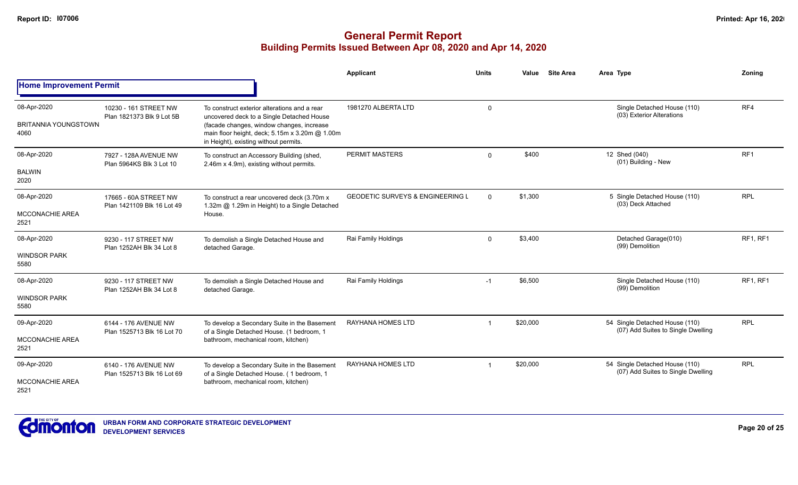|                                                    |                                                     |                                                                                                                                                                                                                                   | Applicant                                   | <b>Units</b> | <b>Site Area</b><br>Value | Area Type                                                            | Zoning          |
|----------------------------------------------------|-----------------------------------------------------|-----------------------------------------------------------------------------------------------------------------------------------------------------------------------------------------------------------------------------------|---------------------------------------------|--------------|---------------------------|----------------------------------------------------------------------|-----------------|
| <b>Home Improvement Permit</b>                     |                                                     |                                                                                                                                                                                                                                   |                                             |              |                           |                                                                      |                 |
| 08-Apr-2020<br><b>BRITANNIA YOUNGSTOWN</b><br>4060 | 10230 - 161 STREET NW<br>Plan 1821373 Blk 9 Lot 5B  | To construct exterior alterations and a rear<br>uncovered deck to a Single Detached House<br>(facade changes, window changes, increase<br>main floor height, deck; 5.15m x 3.20m @ 1.00m<br>in Height), existing without permits. | 1981270 ALBERTA LTD                         | $\Omega$     |                           | Single Detached House (110)<br>(03) Exterior Alterations             | RF4             |
| 08-Apr-2020<br><b>BALWIN</b><br>2020               | 7927 - 128A AVENUE NW<br>Plan 5964KS Blk 3 Lot 10   | To construct an Accessory Building (shed,<br>2.46m x 4.9m), existing without permits.                                                                                                                                             | <b>PERMIT MASTERS</b>                       | $\Omega$     | \$400                     | 12 Shed (040)<br>(01) Building - New                                 | RF <sub>1</sub> |
| 08-Apr-2020<br><b>MCCONACHIE AREA</b><br>2521      | 17665 - 60A STREET NW<br>Plan 1421109 Blk 16 Lot 49 | To construct a rear uncovered deck (3.70m x<br>1.32m @ 1.29m in Height) to a Single Detached<br>House.                                                                                                                            | <b>GEODETIC SURVEYS &amp; ENGINEERING L</b> | $\Omega$     | \$1,300                   | 5 Single Detached House (110)<br>(03) Deck Attached                  | <b>RPL</b>      |
| 08-Apr-2020<br><b>WINDSOR PARK</b><br>5580         | 9230 - 117 STREET NW<br>Plan 1252AH Blk 34 Lot 8    | To demolish a Single Detached House and<br>detached Garage.                                                                                                                                                                       | Rai Family Holdings                         | $\mathbf 0$  | \$3,400                   | Detached Garage(010)<br>(99) Demolition                              | RF1, RF1        |
| 08-Apr-2020<br><b>WINDSOR PARK</b><br>5580         | 9230 - 117 STREET NW<br>Plan 1252AH Blk 34 Lot 8    | To demolish a Single Detached House and<br>detached Garage.                                                                                                                                                                       | Rai Family Holdings                         | $-1$         | \$6,500                   | Single Detached House (110)<br>(99) Demolition                       | RF1, RF1        |
| 09-Apr-2020<br><b>MCCONACHIE AREA</b><br>2521      | 6144 - 176 AVENUE NW<br>Plan 1525713 Blk 16 Lot 70  | To develop a Secondary Suite in the Basement<br>of a Single Detached House. (1 bedroom, 1<br>bathroom, mechanical room, kitchen)                                                                                                  | RAYHANA HOMES LTD                           |              | \$20,000                  | 54 Single Detached House (110)<br>(07) Add Suites to Single Dwelling | <b>RPL</b>      |
| 09-Apr-2020<br>MCCONACHIE AREA<br>2521             | 6140 - 176 AVENUE NW<br>Plan 1525713 Blk 16 Lot 69  | To develop a Secondary Suite in the Basement<br>of a Single Detached House. (1 bedroom, 1<br>bathroom, mechanical room, kitchen)                                                                                                  | <b>RAYHANA HOMES LTD</b>                    |              | \$20,000                  | 54 Single Detached House (110)<br>(07) Add Suites to Single Dwelling | <b>RPL</b>      |

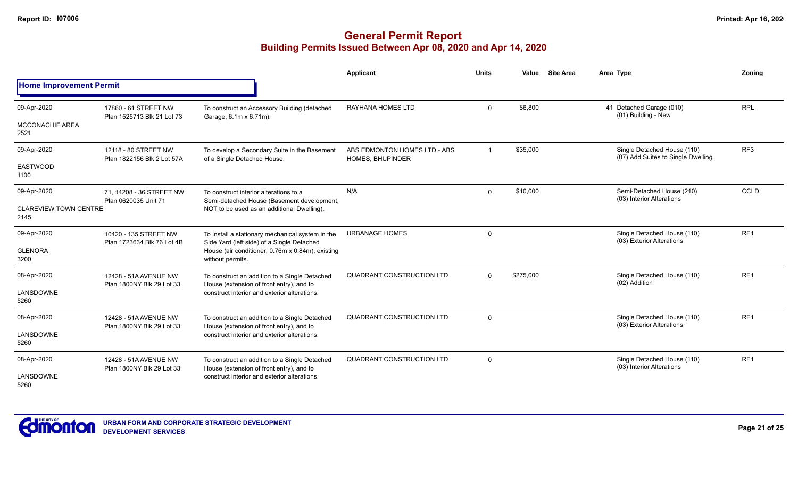|                                       |                                                     |                                                                                                | <b>Applicant</b>                                 | <b>Units</b> | Value     | <b>Site Area</b> | Area Type                                                         | Zonina          |
|---------------------------------------|-----------------------------------------------------|------------------------------------------------------------------------------------------------|--------------------------------------------------|--------------|-----------|------------------|-------------------------------------------------------------------|-----------------|
| <b>Home Improvement Permit</b>        |                                                     |                                                                                                |                                                  |              |           |                  |                                                                   |                 |
| 09-Apr-2020<br><b>MCCONACHIE AREA</b> | 17860 - 61 STREET NW<br>Plan 1525713 Blk 21 Lot 73  | To construct an Accessory Building (detached<br>Garage, 6.1m x 6.71m).                         | <b>RAYHANA HOMES LTD</b>                         | $\Omega$     | \$6,800   |                  | 41 Detached Garage (010)<br>(01) Building - New                   | <b>RPL</b>      |
| 2521                                  |                                                     |                                                                                                |                                                  |              |           |                  |                                                                   |                 |
| 09-Apr-2020                           | 12118 - 80 STREET NW<br>Plan 1822156 Blk 2 Lot 57A  | To develop a Secondary Suite in the Basement<br>of a Single Detached House.                    | ABS EDMONTON HOMES LTD - ABS<br>HOMES, BHUPINDER |              | \$35,000  |                  | Single Detached House (110)<br>(07) Add Suites to Single Dwelling | RF <sub>3</sub> |
| <b>EASTWOOD</b><br>1100               |                                                     |                                                                                                |                                                  |              |           |                  |                                                                   |                 |
| 09-Apr-2020                           | 71, 14208 - 36 STREET NW<br>Plan 0620035 Unit 71    | To construct interior alterations to a<br>Semi-detached House (Basement development,           | N/A                                              | $\mathbf 0$  | \$10,000  |                  | Semi-Detached House (210)<br>(03) Interior Alterations            | CCLD            |
| <b>CLAREVIEW TOWN CENTRE</b><br>2145  |                                                     | NOT to be used as an additional Dwelling).                                                     |                                                  |              |           |                  |                                                                   |                 |
| 09-Apr-2020                           | 10420 - 135 STREET NW<br>Plan 1723634 Blk 76 Lot 4B | To install a stationary mechanical system in the<br>Side Yard (left side) of a Single Detached | <b>URBANAGE HOMES</b>                            | $\mathbf 0$  |           |                  | Single Detached House (110)<br>(03) Exterior Alterations          | RF1             |
| <b>GLENORA</b><br>3200                |                                                     | House (air conditioner, 0.76m x 0.84m), existing<br>without permits.                           |                                                  |              |           |                  |                                                                   |                 |
| 08-Apr-2020                           | 12428 - 51A AVENUE NW<br>Plan 1800NY Blk 29 Lot 33  | To construct an addition to a Single Detached<br>House (extension of front entry), and to      | <b>QUADRANT CONSTRUCTION LTD</b>                 | $\Omega$     | \$275,000 |                  | Single Detached House (110)<br>(02) Addition                      | RF <sub>1</sub> |
| LANSDOWNE<br>5260                     |                                                     | construct interior and exterior alterations.                                                   |                                                  |              |           |                  |                                                                   |                 |
| 08-Apr-2020                           | 12428 - 51A AVENUE NW<br>Plan 1800NY Blk 29 Lot 33  | To construct an addition to a Single Detached<br>House (extension of front entry), and to      | QUADRANT CONSTRUCTION LTD                        | $\mathbf 0$  |           |                  | Single Detached House (110)                                       | RF <sub>1</sub> |
| LANSDOWNE<br>5260                     |                                                     | construct interior and exterior alterations.                                                   |                                                  |              |           |                  | (03) Exterior Alterations                                         |                 |
| 08-Apr-2020                           | 12428 - 51A AVENUE NW<br>Plan 1800NY Blk 29 Lot 33  | To construct an addition to a Single Detached<br>House (extension of front entry), and to      | QUADRANT CONSTRUCTION LTD                        | $\mathbf 0$  |           |                  | Single Detached House (110)<br>(03) Interior Alterations          | RF <sub>1</sub> |
| LANSDOWNE<br>5260                     |                                                     | construct interior and exterior alterations.                                                   |                                                  |              |           |                  |                                                                   |                 |

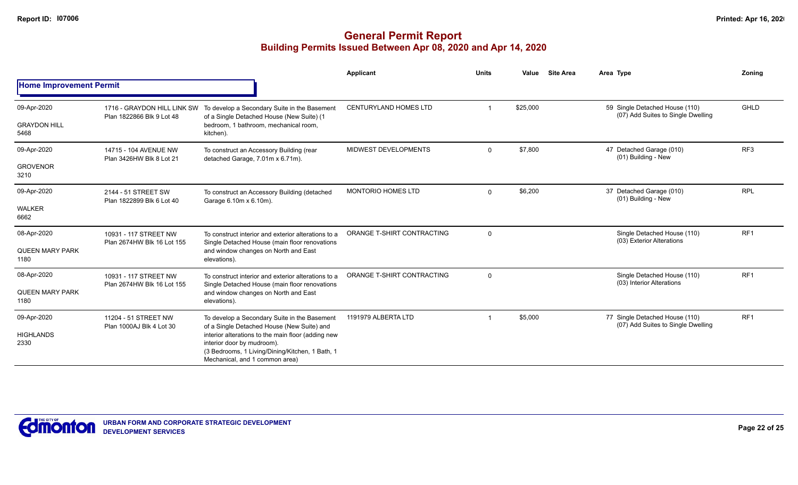|                                |                                                          |                                                                                                                                                                       | Applicant                    | <b>Units</b> | Value    | <b>Site Area</b> | Area Type                                                            | Zonina          |
|--------------------------------|----------------------------------------------------------|-----------------------------------------------------------------------------------------------------------------------------------------------------------------------|------------------------------|--------------|----------|------------------|----------------------------------------------------------------------|-----------------|
| <b>Home Improvement Permit</b> |                                                          |                                                                                                                                                                       |                              |              |          |                  |                                                                      |                 |
| 09-Apr-2020                    | 1716 - GRAYDON HILL LINK SW<br>Plan 1822866 Blk 9 Lot 48 | To develop a Secondary Suite in the Basement<br>of a Single Detached House (New Suite) (1                                                                             | <b>CENTURYLAND HOMES LTD</b> |              | \$25,000 |                  | 59 Single Detached House (110)<br>(07) Add Suites to Single Dwelling | GHLD            |
| <b>GRAYDON HILL</b><br>5468    |                                                          | bedroom, 1 bathroom, mechanical room,<br>kitchen).                                                                                                                    |                              |              |          |                  |                                                                      |                 |
| 09-Apr-2020                    | 14715 - 104 AVENUE NW<br>Plan 3426HW Blk 8 Lot 21        | To construct an Accessory Building (rear<br>detached Garage, 7.01m x 6.71m).                                                                                          | MIDWEST DEVELOPMENTS         | $\mathbf{0}$ | \$7,800  |                  | 47 Detached Garage (010)<br>(01) Building - New                      | RF <sub>3</sub> |
| <b>GROVENOR</b><br>3210        |                                                          |                                                                                                                                                                       |                              |              |          |                  |                                                                      |                 |
| 09-Apr-2020                    | 2144 - 51 STREET SW<br>Plan 1822899 Blk 6 Lot 40         | To construct an Accessory Building (detached<br>Garage 6.10m x 6.10m).                                                                                                | <b>MONTORIO HOMES LTD</b>    | $\mathbf{0}$ | \$6,200  |                  | 37 Detached Garage (010)<br>(01) Building - New                      | <b>RPL</b>      |
| <b>WALKER</b><br>6662          |                                                          |                                                                                                                                                                       |                              |              |          |                  |                                                                      |                 |
| 08-Apr-2020                    | 10931 - 117 STREET NW<br>Plan 2674HW Blk 16 Lot 155      | To construct interior and exterior alterations to a<br>Single Detached House (main floor renovations                                                                  | ORANGE T-SHIRT CONTRACTING   | $\mathbf{0}$ |          |                  | Single Detached House (110)<br>(03) Exterior Alterations             | RF <sub>1</sub> |
| <b>QUEEN MARY PARK</b><br>1180 |                                                          | and window changes on North and East<br>elevations).                                                                                                                  |                              |              |          |                  |                                                                      |                 |
| 08-Apr-2020                    | 10931 - 117 STREET NW<br>Plan 2674HW Blk 16 Lot 155      | To construct interior and exterior alterations to a<br>Single Detached House (main floor renovations                                                                  | ORANGE T-SHIRT CONTRACTING   | $\mathbf 0$  |          |                  | Single Detached House (110)<br>(03) Interior Alterations             | RF <sub>1</sub> |
| <b>QUEEN MARY PARK</b><br>1180 |                                                          | and window changes on North and East<br>elevations).                                                                                                                  |                              |              |          |                  |                                                                      |                 |
| 09-Apr-2020                    | 11204 - 51 STREET NW<br>Plan 1000AJ Blk 4 Lot 30         | To develop a Secondary Suite in the Basement<br>of a Single Detached House (New Suite) and                                                                            | 1191979 ALBERTA LTD          |              | \$5,000  |                  | 77 Single Detached House (110)<br>(07) Add Suites to Single Dwelling | RF <sub>1</sub> |
| <b>HIGHLANDS</b><br>2330       |                                                          | interior alterations to the main floor (adding new<br>interior door by mudroom).<br>(3 Bedrooms, 1 Living/Dining/Kitchen, 1 Bath, 1<br>Mechanical, and 1 common area) |                              |              |          |                  |                                                                      |                 |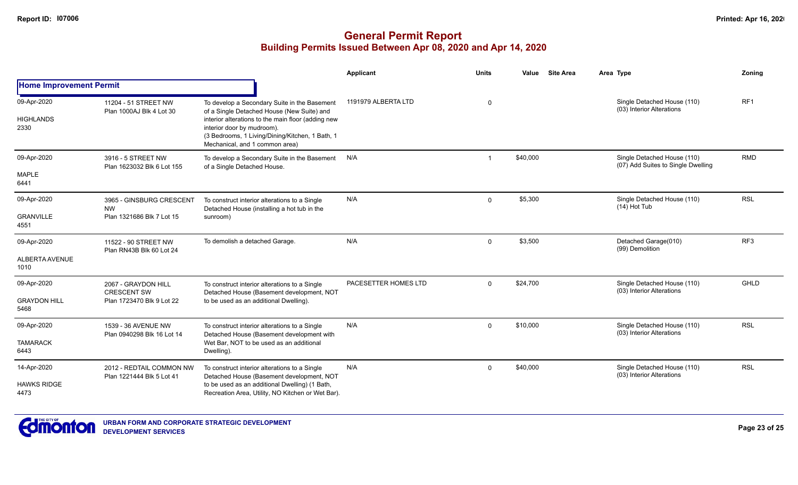|                                |                                                       |                                                                                                                                                                       | <b>Applicant</b>     | <b>Units</b>   | Value    | <b>Site Area</b> | Area Type                                                         |  | <b>Zoning</b>   |
|--------------------------------|-------------------------------------------------------|-----------------------------------------------------------------------------------------------------------------------------------------------------------------------|----------------------|----------------|----------|------------------|-------------------------------------------------------------------|--|-----------------|
| <b>Home Improvement Permit</b> |                                                       |                                                                                                                                                                       |                      |                |          |                  |                                                                   |  |                 |
| 09-Apr-2020                    | 11204 - 51 STREET NW<br>Plan 1000AJ Blk 4 Lot 30      | To develop a Secondary Suite in the Basement<br>of a Single Detached House (New Suite) and                                                                            | 1191979 ALBERTA LTD  | $\mathbf 0$    |          |                  | Single Detached House (110)<br>(03) Interior Alterations          |  | RF <sub>1</sub> |
| <b>HIGHLANDS</b><br>2330       |                                                       | interior alterations to the main floor (adding new<br>interior door by mudroom).<br>(3 Bedrooms, 1 Living/Dining/Kitchen, 1 Bath, 1<br>Mechanical, and 1 common area) |                      |                |          |                  |                                                                   |  |                 |
| 09-Apr-2020                    | 3916 - 5 STREET NW<br>Plan 1623032 Blk 6 Lot 155      | To develop a Secondary Suite in the Basement<br>of a Single Detached House.                                                                                           | N/A                  | $\overline{1}$ | \$40,000 |                  | Single Detached House (110)<br>(07) Add Suites to Single Dwelling |  | <b>RMD</b>      |
| <b>MAPLE</b><br>6441           |                                                       |                                                                                                                                                                       |                      |                |          |                  |                                                                   |  |                 |
| 09-Apr-2020                    | 3965 - GINSBURG CRESCENT<br><b>NW</b>                 | To construct interior alterations to a Single<br>Detached House (installing a hot tub in the                                                                          | N/A                  | $\Omega$       | \$5,300  |                  | Single Detached House (110)<br>(14) Hot Tub                       |  | <b>RSL</b>      |
| <b>GRANVILLE</b><br>4551       | Plan 1321686 Blk 7 Lot 15                             | sunroom)                                                                                                                                                              |                      |                |          |                  |                                                                   |  |                 |
| 09-Apr-2020                    | 11522 - 90 STREET NW<br>Plan RN43B Blk 60 Lot 24      | To demolish a detached Garage.                                                                                                                                        | N/A                  | $\Omega$       | \$3,500  |                  | Detached Garage(010)<br>(99) Demolition                           |  | RF <sub>3</sub> |
| ALBERTA AVENUE<br>1010         |                                                       |                                                                                                                                                                       |                      |                |          |                  |                                                                   |  |                 |
| 09-Apr-2020                    | 2067 - GRAYDON HILL<br><b>CRESCENT SW</b>             | To construct interior alterations to a Single<br>Detached House (Basement development, NOT                                                                            | PACESETTER HOMES LTD | $\Omega$       | \$24,700 |                  | Single Detached House (110)<br>(03) Interior Alterations          |  | GHLD            |
| <b>GRAYDON HILL</b><br>5468    | Plan 1723470 Blk 9 Lot 22                             | to be used as an additional Dwelling).                                                                                                                                |                      |                |          |                  |                                                                   |  |                 |
| 09-Apr-2020                    | 1539 - 36 AVENUE NW<br>Plan 0940298 Blk 16 Lot 14     | To construct interior alterations to a Single<br>Detached House (Basement development with                                                                            | N/A                  | $\mathbf 0$    | \$10,000 |                  | Single Detached House (110)<br>(03) Interior Alterations          |  | <b>RSL</b>      |
| <b>TAMARACK</b><br>6443        |                                                       | Wet Bar, NOT to be used as an additional<br>Dwelling).                                                                                                                |                      |                |          |                  |                                                                   |  |                 |
| 14-Apr-2020                    | 2012 - REDTAIL COMMON NW<br>Plan 1221444 Blk 5 Lot 41 | To construct interior alterations to a Single<br>Detached House (Basement development, NOT                                                                            | N/A                  | $\Omega$       | \$40,000 |                  | Single Detached House (110)<br>(03) Interior Alterations          |  | <b>RSL</b>      |
| <b>HAWKS RIDGE</b><br>4473     |                                                       | to be used as an additional Dwelling) (1 Bath,<br>Recreation Area, Utility, NO Kitchen or Wet Bar).                                                                   |                      |                |          |                  |                                                                   |  |                 |

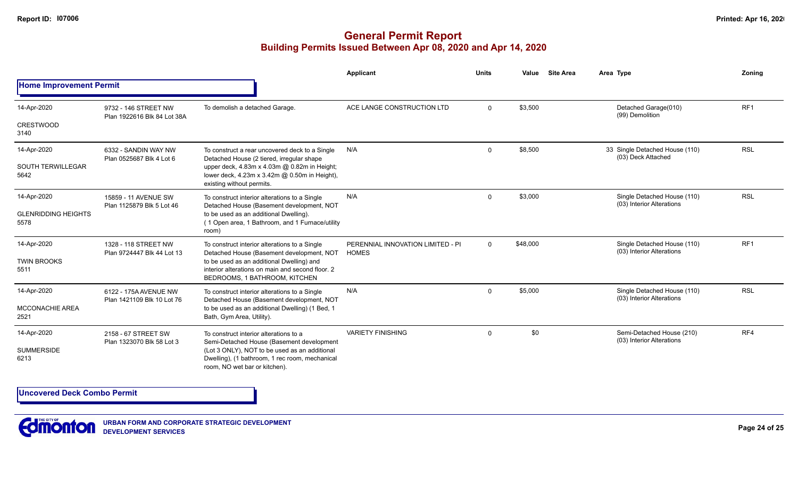## **General Permit Report Building Permits Issued Between Apr 08, 2020 and Apr 14, 2020**

|                                    |                                                     |                                                                                                                                  | <b>Applicant</b>                                  | <b>Units</b>        | Value    | <b>Site Area</b> | Area Type                                                | Zoning          |
|------------------------------------|-----------------------------------------------------|----------------------------------------------------------------------------------------------------------------------------------|---------------------------------------------------|---------------------|----------|------------------|----------------------------------------------------------|-----------------|
| <b>Home Improvement Permit</b>     |                                                     |                                                                                                                                  |                                                   |                     |          |                  |                                                          |                 |
| 14-Apr-2020                        | 9732 - 146 STREET NW<br>Plan 1922616 Blk 84 Lot 38A | To demolish a detached Garage.                                                                                                   | ACE LANGE CONSTRUCTION LTD                        | $\Omega$            | \$3,500  |                  | Detached Garage(010)<br>(99) Demolition                  | RF <sub>1</sub> |
| <b>CRESTWOOD</b><br>3140           |                                                     |                                                                                                                                  |                                                   |                     |          |                  |                                                          |                 |
| 14-Apr-2020                        | 6332 - SANDIN WAY NW<br>Plan 0525687 Blk 4 Lot 6    | To construct a rear uncovered deck to a Single<br>Detached House (2 tiered, irregular shape                                      | N/A                                               | $\Omega$            | \$8,500  |                  | 33 Single Detached House (110)<br>(03) Deck Attached     | <b>RSL</b>      |
| <b>SOUTH TERWILLEGAR</b><br>5642   |                                                     | upper deck, 4.83m x 4.03m @ 0.82m in Height;<br>lower deck, 4.23m x 3.42m @ 0.50m in Height),<br>existing without permits.       |                                                   | \$3,000<br>$\Omega$ |          |                  |                                                          |                 |
| 14-Apr-2020                        | 15859 - 11 AVENUE SW<br>Plan 1125879 Blk 5 Lot 46   | To construct interior alterations to a Single<br>Detached House (Basement development, NOT                                       | N/A                                               |                     |          |                  | Single Detached House (110)<br>(03) Interior Alterations | <b>RSL</b>      |
| <b>GLENRIDDING HEIGHTS</b><br>5578 |                                                     | to be used as an additional Dwelling).<br>(1 Open area, 1 Bathroom, and 1 Furnace/utility<br>room)                               |                                                   |                     |          |                  |                                                          |                 |
| 14-Apr-2020<br><b>TWIN BROOKS</b>  | 1328 - 118 STREET NW<br>Plan 9724447 Blk 44 Lot 13  | To construct interior alterations to a Single<br>Detached House (Basement development, NOT                                       | PERENNIAL INNOVATION LIMITED - PI<br><b>HOMES</b> | $\Omega$            | \$48,000 |                  | Single Detached House (110)<br>(03) Interior Alterations | RF <sub>1</sub> |
| 5511                               |                                                     | to be used as an additional Dwelling) and<br>interior alterations on main and second floor. 2<br>BEDROOMS, 1 BATHROOM, KITCHEN   |                                                   |                     |          |                  |                                                          |                 |
| 14-Apr-2020                        | 6122 - 175A AVENUE NW                               | To construct interior alterations to a Single<br>Detached House (Basement development, NOT                                       | N/A                                               | 0                   | \$5,000  |                  | Single Detached House (110)<br>(03) Interior Alterations | <b>RSL</b>      |
| MCCONACHIE AREA<br>2521            | Plan 1421109 Blk 10 Lot 76                          | to be used as an additional Dwelling) (1 Bed, 1<br>Bath, Gym Area, Utility).                                                     |                                                   |                     |          |                  |                                                          |                 |
| 14-Apr-2020                        | 2158 - 67 STREET SW<br>Plan 1323070 Blk 58 Lot 3    | To construct interior alterations to a<br>Semi-Detached House (Basement development                                              | <b>VARIETY FINISHING</b>                          | $\Omega$            | \$0      |                  | Semi-Detached House (210)<br>(03) Interior Alterations   | RF4             |
| <b>SUMMERSIDE</b><br>6213          |                                                     | (Lot 3 ONLY), NOT to be used as an additional<br>Dwelling), (1 bathroom, 1 rec room, mechanical<br>room, NO wet bar or kitchen). |                                                   |                     |          |                  |                                                          |                 |

**Uncovered Deck Combo Permit**



**URBAN FORM AND CORPORATE STRATEGIC DEVELOPMENT DEVELOPMENT SERVICES**